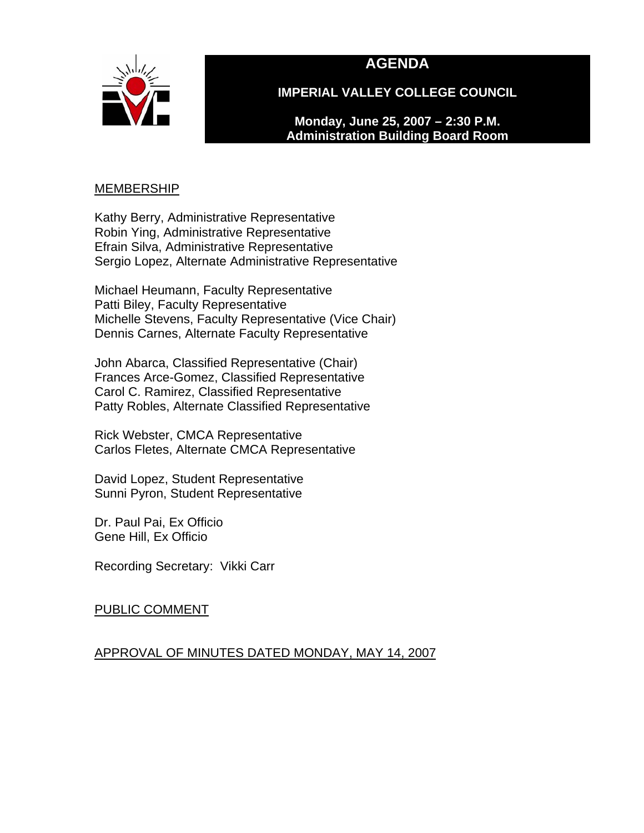



**IMPERIAL VALLEY COLLEGE COUNCIL** 

**Monday, June 25, 2007 – 2:30 P.M. Administration Building Board Room** 

### <u>MEMBERSHIP</u>

Kathy Berry, Administrative Representative Robin Ying, Administrative Representative Efrain Silva, Administrative Representative Sergio Lopez, Alternate Administrative Representative

Michael Heumann, Faculty Representative Patti Biley, Faculty Representative Michelle Stevens, Faculty Representative (Vice Chair) Dennis Carnes, Alternate Faculty Representative

John Abarca, Classified Representative (Chair) Frances Arce-Gomez, Classified Representative Carol C. Ramirez, Classified Representative Patty Robles, Alternate Classified Representative

Rick Webster, CMCA Representative Carlos Fletes, Alternate CMCA Representative

David Lopez, Student Representative Sunni Pyron, Student Representative

Dr. Paul Pai, Ex Officio Gene Hill, Ex Officio

Recording Secretary: Vikki Carr

### PUBLIC COMMENT

### APPROVAL OF MINUTES DATED MONDAY, MAY 14, 2007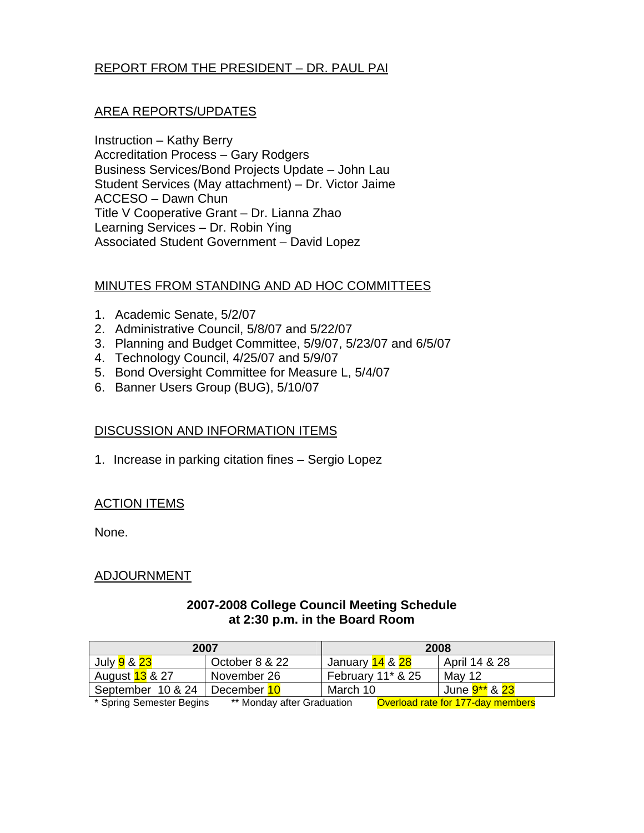## REPORT FROM THE PRESIDENT – DR. PAUL PAI

### AREA REPORTS/UPDATES

Instruction – Kathy Berry Accreditation Process – Gary Rodgers Business Services/Bond Projects Update – John Lau Student Services (May attachment) – Dr. Victor Jaime ACCESO – Dawn Chun Title V Cooperative Grant – Dr. Lianna Zhao Learning Services – Dr. Robin Ying Associated Student Government – David Lopez

### MINUTES FROM STANDING AND AD HOC COMMITTEES

- 1. Academic Senate, 5/2/07
- 2. Administrative Council, 5/8/07 and 5/22/07
- 3. Planning and Budget Committee, 5/9/07, 5/23/07 and 6/5/07
- 4. Technology Council, 4/25/07 and 5/9/07
- 5. Bond Oversight Committee for Measure L, 5/4/07
- 6. Banner Users Group (BUG), 5/10/07

### DISCUSSION AND INFORMATION ITEMS

1. Increase in parking citation fines – Sergio Lopez

### ACTION ITEMS

None.

### ADJOURNMENT

### **2007-2008 College Council Meeting Schedule at 2:30 p.m. in the Board Room**

| 2007                     |                            | 2008                         |                                   |
|--------------------------|----------------------------|------------------------------|-----------------------------------|
| July <b>9</b> & 23       | October 8 & 22             | January <mark>14</mark> & 28 | April 14 & 28                     |
| August <b>13</b> & 27    | November 26                | February $11*8.25$           | Mav 12                            |
| September 10 & 24        | December 10                | March 10                     | June <mark>9**</mark> & 23        |
| * Spring Semester Begins | ** Monday after Graduation |                              | Overload rate for 177-day members |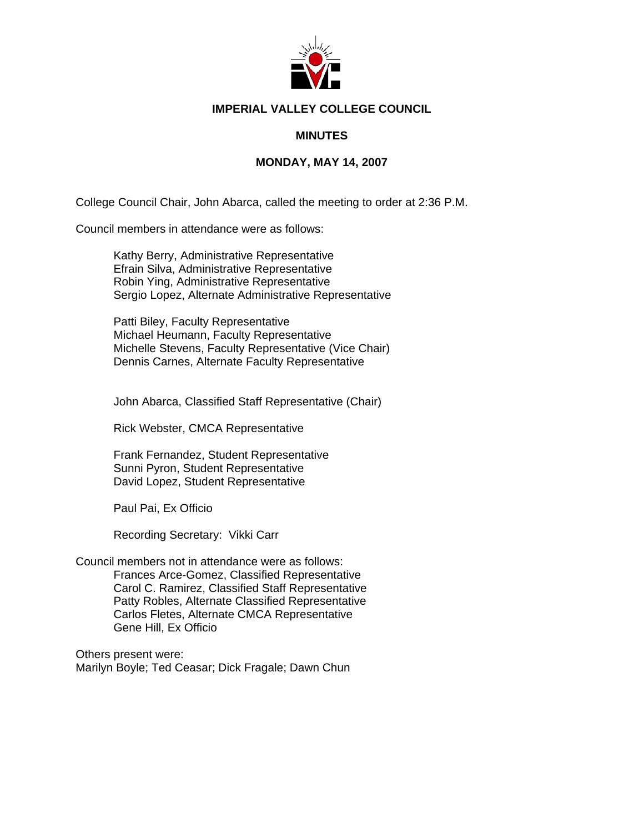

### **IMPERIAL VALLEY COLLEGE COUNCIL**

### **MINUTES**

### **MONDAY, MAY 14, 2007**

College Council Chair, John Abarca, called the meeting to order at 2:36 P.M.

Council members in attendance were as follows:

Kathy Berry, Administrative Representative Efrain Silva, Administrative Representative Robin Ying, Administrative Representative Sergio Lopez, Alternate Administrative Representative

Patti Biley, Faculty Representative Michael Heumann, Faculty Representative Michelle Stevens, Faculty Representative (Vice Chair) Dennis Carnes, Alternate Faculty Representative

John Abarca, Classified Staff Representative (Chair)

Rick Webster, CMCA Representative

Frank Fernandez, Student Representative Sunni Pyron, Student Representative David Lopez, Student Representative

Paul Pai, Ex Officio

Recording Secretary: Vikki Carr

Council members not in attendance were as follows: Frances Arce-Gomez, Classified Representative Carol C. Ramirez, Classified Staff Representative Patty Robles, Alternate Classified Representative Carlos Fletes, Alternate CMCA Representative Gene Hill, Ex Officio

Others present were: Marilyn Boyle; Ted Ceasar; Dick Fragale; Dawn Chun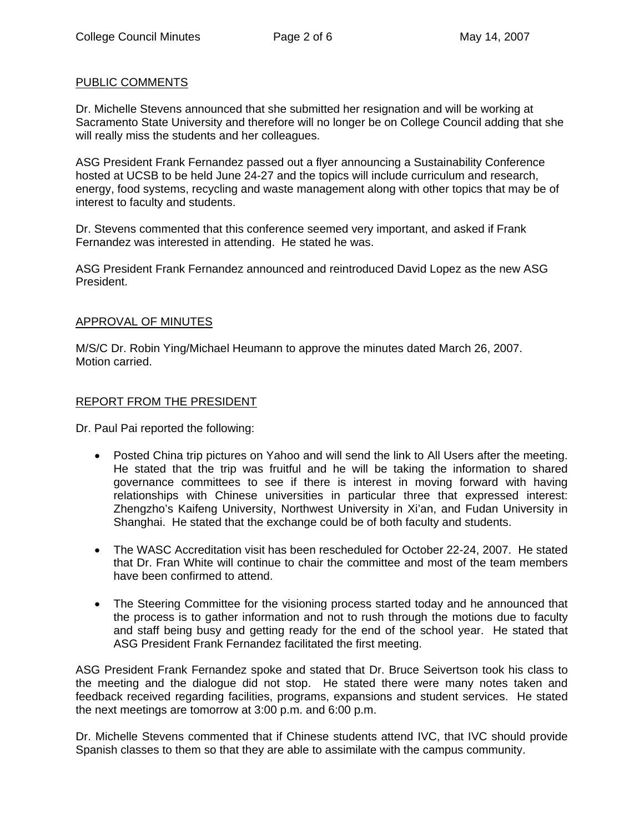### PUBLIC COMMENTS

Dr. Michelle Stevens announced that she submitted her resignation and will be working at Sacramento State University and therefore will no longer be on College Council adding that she will really miss the students and her colleagues.

ASG President Frank Fernandez passed out a flyer announcing a Sustainability Conference hosted at UCSB to be held June 24-27 and the topics will include curriculum and research, energy, food systems, recycling and waste management along with other topics that may be of interest to faculty and students.

Dr. Stevens commented that this conference seemed very important, and asked if Frank Fernandez was interested in attending. He stated he was.

ASG President Frank Fernandez announced and reintroduced David Lopez as the new ASG President.

#### APPROVAL OF MINUTES

M/S/C Dr. Robin Ying/Michael Heumann to approve the minutes dated March 26, 2007. Motion carried.

### REPORT FROM THE PRESIDENT

Dr. Paul Pai reported the following:

- Posted China trip pictures on Yahoo and will send the link to All Users after the meeting. He stated that the trip was fruitful and he will be taking the information to shared governance committees to see if there is interest in moving forward with having relationships with Chinese universities in particular three that expressed interest: Zhengzho's Kaifeng University, Northwest University in Xi'an, and Fudan University in Shanghai. He stated that the exchange could be of both faculty and students.
- The WASC Accreditation visit has been rescheduled for October 22-24, 2007. He stated that Dr. Fran White will continue to chair the committee and most of the team members have been confirmed to attend.
- The Steering Committee for the visioning process started today and he announced that the process is to gather information and not to rush through the motions due to faculty and staff being busy and getting ready for the end of the school year. He stated that ASG President Frank Fernandez facilitated the first meeting.

ASG President Frank Fernandez spoke and stated that Dr. Bruce Seivertson took his class to the meeting and the dialogue did not stop. He stated there were many notes taken and feedback received regarding facilities, programs, expansions and student services. He stated the next meetings are tomorrow at 3:00 p.m. and 6:00 p.m.

Dr. Michelle Stevens commented that if Chinese students attend IVC, that IVC should provide Spanish classes to them so that they are able to assimilate with the campus community.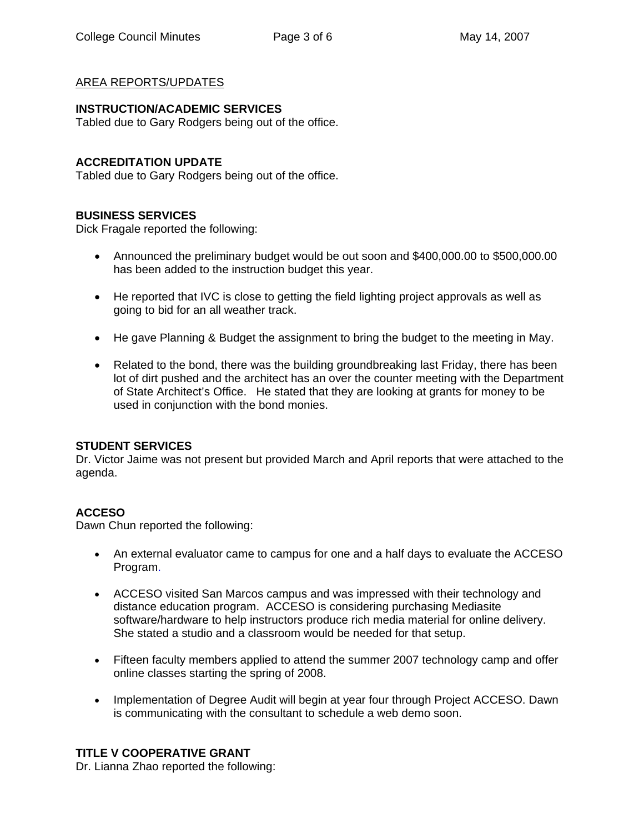### AREA REPORTS/UPDATES

## **INSTRUCTION/ACADEMIC SERVICES**

Tabled due to Gary Rodgers being out of the office.

## **ACCREDITATION UPDATE**

Tabled due to Gary Rodgers being out of the office.

## **BUSINESS SERVICES**

Dick Fragale reported the following:

- Announced the preliminary budget would be out soon and \$400,000.00 to \$500,000.00 has been added to the instruction budget this year.
- He reported that IVC is close to getting the field lighting project approvals as well as going to bid for an all weather track.
- He gave Planning & Budget the assignment to bring the budget to the meeting in May.
- Related to the bond, there was the building groundbreaking last Friday, there has been lot of dirt pushed and the architect has an over the counter meeting with the Department of State Architect's Office. He stated that they are looking at grants for money to be used in conjunction with the bond monies.

## **STUDENT SERVICES**

Dr. Victor Jaime was not present but provided March and April reports that were attached to the agenda.

## **ACCESO**

Dawn Chun reported the following:

- An external evaluator came to campus for one and a half days to evaluate the ACCESO Program.
- ACCESO visited San Marcos campus and was impressed with their technology and distance education program. ACCESO is considering purchasing Mediasite software/hardware to help instructors produce rich media material for online delivery. She stated a studio and a classroom would be needed for that setup.
- Fifteen faculty members applied to attend the summer 2007 technology camp and offer online classes starting the spring of 2008.
- Implementation of Degree Audit will begin at year four through Project ACCESO. Dawn is communicating with the consultant to schedule a web demo soon.

## **TITLE V COOPERATIVE GRANT**

Dr. Lianna Zhao reported the following: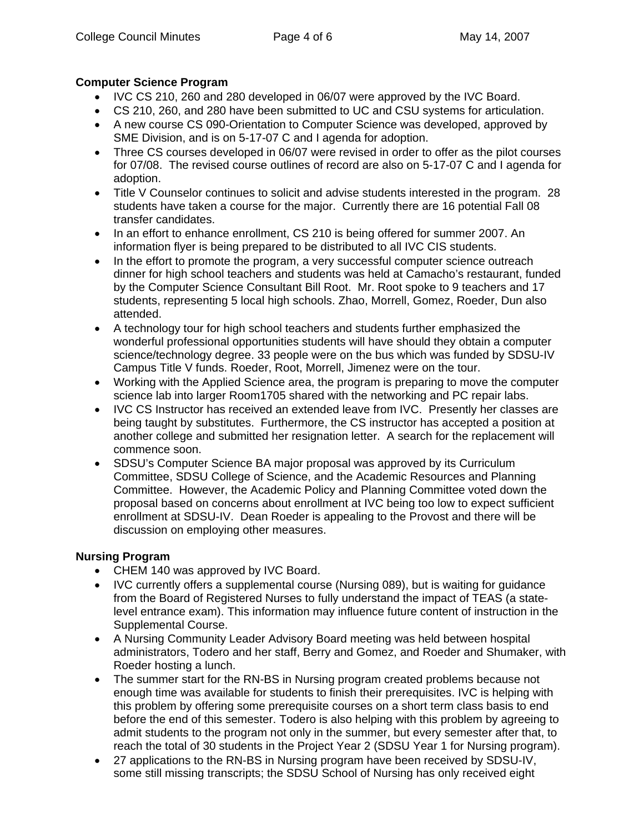### **Computer Science Program**

- IVC CS 210, 260 and 280 developed in 06/07 were approved by the IVC Board.
- CS 210, 260, and 280 have been submitted to UC and CSU systems for articulation.
- A new course CS 090-Orientation to Computer Science was developed, approved by SME Division, and is on 5-17-07 C and I agenda for adoption.
- Three CS courses developed in 06/07 were revised in order to offer as the pilot courses for 07/08. The revised course outlines of record are also on 5-17-07 C and I agenda for adoption.
- Title V Counselor continues to solicit and advise students interested in the program. 28 students have taken a course for the major. Currently there are 16 potential Fall 08 transfer candidates.
- In an effort to enhance enrollment, CS 210 is being offered for summer 2007. An information flyer is being prepared to be distributed to all IVC CIS students.
- In the effort to promote the program, a very successful computer science outreach dinner for high school teachers and students was held at Camacho's restaurant, funded by the Computer Science Consultant Bill Root. Mr. Root spoke to 9 teachers and 17 students, representing 5 local high schools. Zhao, Morrell, Gomez, Roeder, Dun also attended.
- A technology tour for high school teachers and students further emphasized the wonderful professional opportunities students will have should they obtain a computer science/technology degree. 33 people were on the bus which was funded by SDSU-IV Campus Title V funds. Roeder, Root, Morrell, Jimenez were on the tour.
- Working with the Applied Science area, the program is preparing to move the computer science lab into larger Room1705 shared with the networking and PC repair labs.
- IVC CS Instructor has received an extended leave from IVC. Presently her classes are being taught by substitutes. Furthermore, the CS instructor has accepted a position at another college and submitted her resignation letter. A search for the replacement will commence soon.
- SDSU's Computer Science BA major proposal was approved by its Curriculum Committee, SDSU College of Science, and the Academic Resources and Planning Committee. However, the Academic Policy and Planning Committee voted down the proposal based on concerns about enrollment at IVC being too low to expect sufficient enrollment at SDSU-IV. Dean Roeder is appealing to the Provost and there will be discussion on employing other measures.

### **Nursing Program**

- CHEM 140 was approved by IVC Board.
- IVC currently offers a supplemental course (Nursing 089), but is waiting for guidance from the Board of Registered Nurses to fully understand the impact of TEAS (a statelevel entrance exam). This information may influence future content of instruction in the Supplemental Course.
- A Nursing Community Leader Advisory Board meeting was held between hospital administrators, Todero and her staff, Berry and Gomez, and Roeder and Shumaker, with Roeder hosting a lunch.
- The summer start for the RN-BS in Nursing program created problems because not enough time was available for students to finish their prerequisites. IVC is helping with this problem by offering some prerequisite courses on a short term class basis to end before the end of this semester. Todero is also helping with this problem by agreeing to admit students to the program not only in the summer, but every semester after that, to reach the total of 30 students in the Project Year 2 (SDSU Year 1 for Nursing program).
- 27 applications to the RN-BS in Nursing program have been received by SDSU-IV, some still missing transcripts; the SDSU School of Nursing has only received eight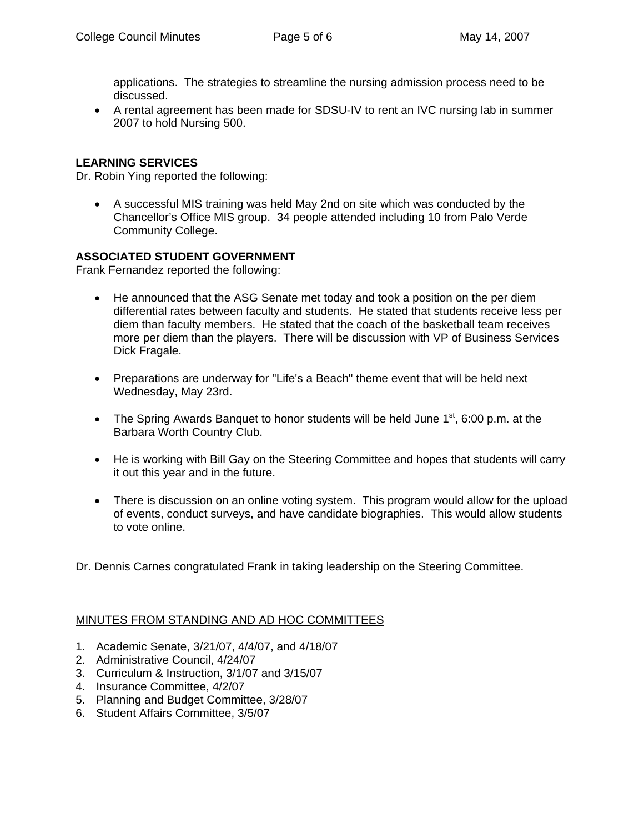applications. The strategies to streamline the nursing admission process need to be discussed.

• A rental agreement has been made for SDSU-IV to rent an IVC nursing lab in summer 2007 to hold Nursing 500.

### **LEARNING SERVICES**

Dr. Robin Ying reported the following:

• A successful MIS training was held May 2nd on site which was conducted by the Chancellor's Office MIS group. 34 people attended including 10 from Palo Verde Community College.

### **ASSOCIATED STUDENT GOVERNMENT**

Frank Fernandez reported the following:

- He announced that the ASG Senate met today and took a position on the per diem differential rates between faculty and students. He stated that students receive less per diem than faculty members. He stated that the coach of the basketball team receives more per diem than the players. There will be discussion with VP of Business Services Dick Fragale.
- Preparations are underway for "Life's a Beach" theme event that will be held next Wednesday, May 23rd.
- The Spring Awards Banquet to honor students will be held June  $1<sup>st</sup>$ , 6:00 p.m. at the Barbara Worth Country Club.
- He is working with Bill Gay on the Steering Committee and hopes that students will carry it out this year and in the future.
- There is discussion on an online voting system. This program would allow for the upload of events, conduct surveys, and have candidate biographies. This would allow students to vote online.

Dr. Dennis Carnes congratulated Frank in taking leadership on the Steering Committee.

### MINUTES FROM STANDING AND AD HOC COMMITTEES

- 1. Academic Senate, 3/21/07, 4/4/07, and 4/18/07
- 2. Administrative Council, 4/24/07
- 3. Curriculum & Instruction, 3/1/07 and 3/15/07
- 4. Insurance Committee, 4/2/07
- 5. Planning and Budget Committee, 3/28/07
- 6. Student Affairs Committee, 3/5/07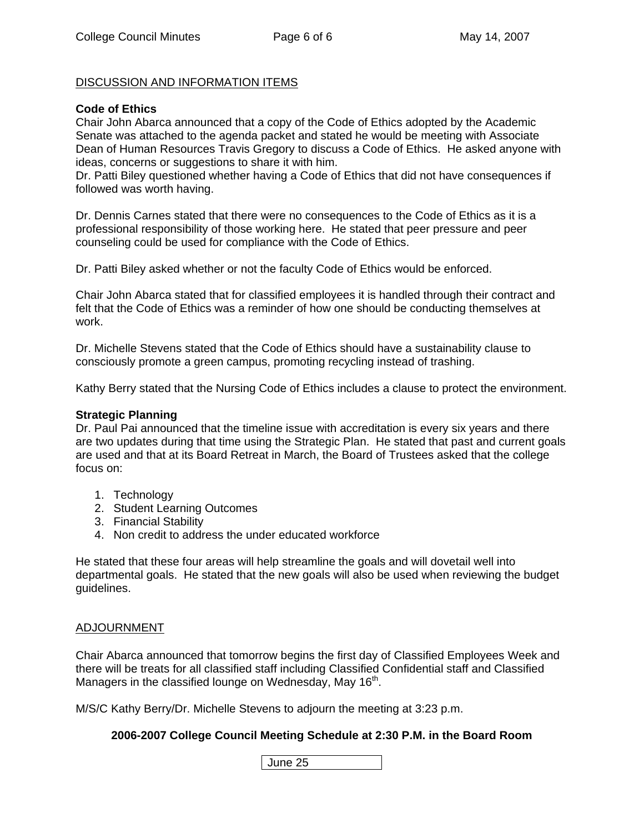### DISCUSSION AND INFORMATION ITEMS

### **Code of Ethics**

Chair John Abarca announced that a copy of the Code of Ethics adopted by the Academic Senate was attached to the agenda packet and stated he would be meeting with Associate Dean of Human Resources Travis Gregory to discuss a Code of Ethics. He asked anyone with ideas, concerns or suggestions to share it with him.

Dr. Patti Biley questioned whether having a Code of Ethics that did not have consequences if followed was worth having.

Dr. Dennis Carnes stated that there were no consequences to the Code of Ethics as it is a professional responsibility of those working here. He stated that peer pressure and peer counseling could be used for compliance with the Code of Ethics.

Dr. Patti Biley asked whether or not the faculty Code of Ethics would be enforced.

Chair John Abarca stated that for classified employees it is handled through their contract and felt that the Code of Ethics was a reminder of how one should be conducting themselves at work.

Dr. Michelle Stevens stated that the Code of Ethics should have a sustainability clause to consciously promote a green campus, promoting recycling instead of trashing.

Kathy Berry stated that the Nursing Code of Ethics includes a clause to protect the environment.

#### **Strategic Planning**

Dr. Paul Pai announced that the timeline issue with accreditation is every six years and there are two updates during that time using the Strategic Plan. He stated that past and current goals are used and that at its Board Retreat in March, the Board of Trustees asked that the college focus on:

- 1. Technology
- 2. Student Learning Outcomes
- 3. Financial Stability
- 4. Non credit to address the under educated workforce

He stated that these four areas will help streamline the goals and will dovetail well into departmental goals. He stated that the new goals will also be used when reviewing the budget guidelines.

#### ADJOURNMENT

Chair Abarca announced that tomorrow begins the first day of Classified Employees Week and there will be treats for all classified staff including Classified Confidential staff and Classified Managers in the classified lounge on Wednesday, May 16<sup>th</sup>.

M/S/C Kathy Berry/Dr. Michelle Stevens to adjourn the meeting at 3:23 p.m.

### **2006-2007 College Council Meeting Schedule at 2:30 P.M. in the Board Room**

June 25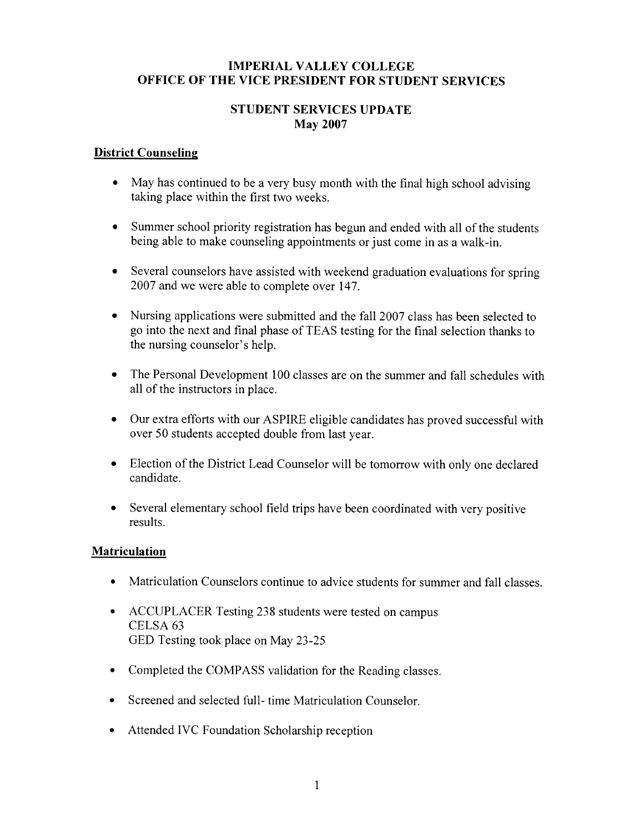### **IMPERIAL VALLEY COLLEGE** OFFICE OF THE VICE PRESIDENT FOR STUDENT SERVICES

### **STUDENT SERVICES UPDATE May 2007**

### **District Counseling**

- May has continued to be a very busy month with the final high school advising taking place within the first two weeks.
- Summer school priority registration has begun and ended with all of the students being able to make counseling appointments or just come in as a walk-in.
- Several counselors have assisted with weekend graduation evaluations for spring 2007 and we were able to complete over 147.
- Nursing applications were submitted and the fall 2007 class has been selected to go into the next and final phase of TEAS testing for the final selection thanks to the nursing counselor's help.
- The Personal Development 100 classes are on the summer and fall schedules with all of the instructors in place.
- Our extra efforts with our ASPIRE eligible candidates has proved successful with over 50 students accepted double from last year.
- $\bullet$ Election of the District Lead Counselor will be tomorrow with only one declared candidate.
- Several elementary school field trips have been coordinated with very positive results.

### **Matriculation**

- Matriculation Counselors continue to advice students for summer and fall classes.
- ACCUPLACER Testing 238 students were tested on campus CELSA<sub>63</sub> GED Testing took place on May 23-25
- Completed the COMPASS validation for the Reading classes.
- Screened and selected full- time Matriculation Counselor.
- Attended IVC Foundation Scholarship reception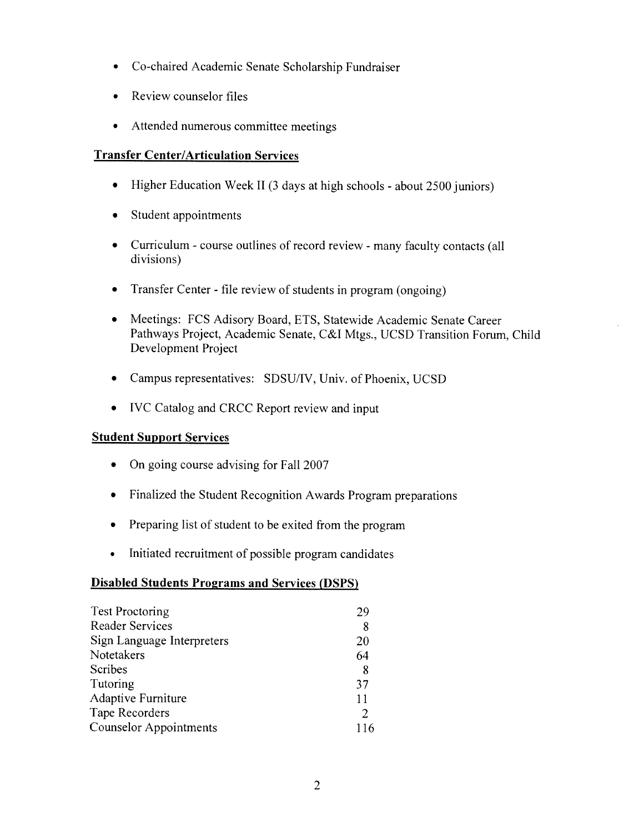- Co-chaired Academic Senate Scholarship Fundraiser
- Review counselor files
- Attended numerous committee meetings

### **Transfer Center/Articulation Services**

- Higher Education Week II (3 days at high schools about 2500 juniors)
- Student appointments
- Curriculum course outlines of record review many faculty contacts (all divisions)
- Transfer Center file review of students in program (ongoing)
- Meetings: FCS Adisory Board, ETS, Statewide Academic Senate Career Pathways Project, Academic Senate, C&I Mtgs., UCSD Transition Forum, Child Development Project
- Campus representatives: SDSU/IV, Univ. of Phoenix, UCSD
- IVC Catalog and CRCC Report review and input

### **Student Support Services**

- On going course advising for Fall 2007
- Finalized the Student Recognition Awards Program preparations
- Preparing list of student to be exited from the program
- Initiated recruitment of possible program candidates  $\bullet$

## **Disabled Students Programs and Services (DSPS)**

| <b>Test Proctoring</b>        | 29  |
|-------------------------------|-----|
| <b>Reader Services</b>        | 8   |
| Sign Language Interpreters    | 20  |
| Notetakers                    | 64  |
| Scribes                       | 8   |
| Tutoring                      | 37  |
| Adaptive Furniture            | 11  |
| Tape Recorders                |     |
| <b>Counselor Appointments</b> | 116 |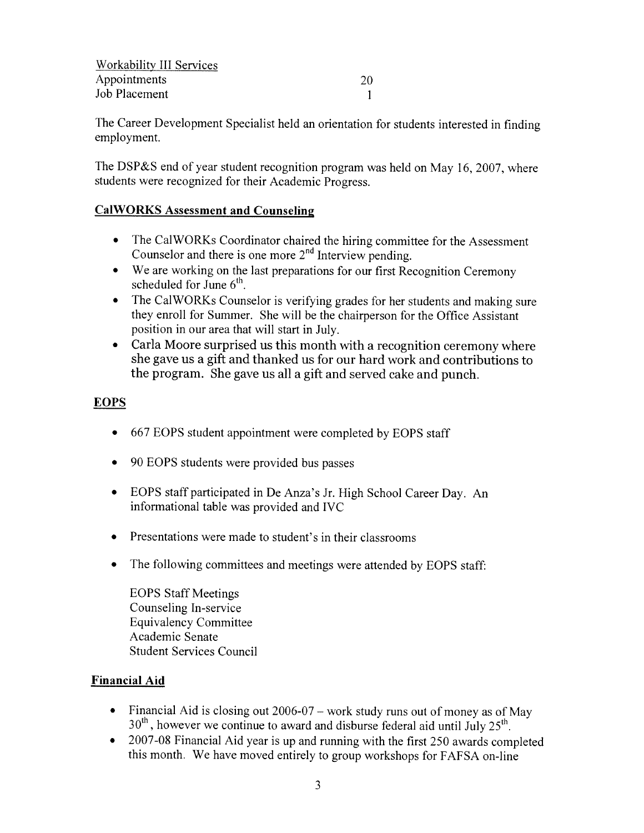| Workability III Services |    |
|--------------------------|----|
| Appointments             | 20 |
| Job Placement            |    |

The Career Development Specialist held an orientation for students interested in finding employment.

The DSP&S end of year student recognition program was held on May 16, 2007, where students were recognized for their Academic Progress.

### **CalWORKS Assessment and Counseling**

- The CalWORKs Coordinator chaired the hiring committee for the Assessment Counselor and there is one more  $2<sup>nd</sup>$  Interview pending.
- We are working on the last preparations for our first Recognition Ceremony scheduled for June  $6<sup>th</sup>$ .
- The CalWORKs Counselor is verifying grades for her students and making sure they enroll for Summer. She will be the chairperson for the Office Assistant position in our area that will start in July.
- Carla Moore surprised us this month with a recognition ceremony where she gave us a gift and thanked us for our hard work and contributions to the program. She gave us all a gift and served cake and punch.

### **EOPS**

- 667 EOPS student appointment were completed by EOPS staff
- 90 EOPS students were provided bus passes
- EOPS staff participated in De Anza's Jr. High School Career Day. An informational table was provided and IVC
- Presentations were made to student's in their classrooms
- The following committees and meetings were attended by EOPS staff:  $\bullet$

**EOPS Staff Meetings** Counseling In-service **Equivalency Committee** Academic Senate **Student Services Council** 

### **Financial Aid**

- Financial Aid is closing out  $2006-07$  work study runs out of money as of May  $30<sup>th</sup>$ , however we continue to award and disburse federal aid until July 25<sup>th</sup>.
- 2007-08 Financial Aid year is up and running with the first 250 awards completed this month. We have moved entirely to group workshops for FAFSA on-line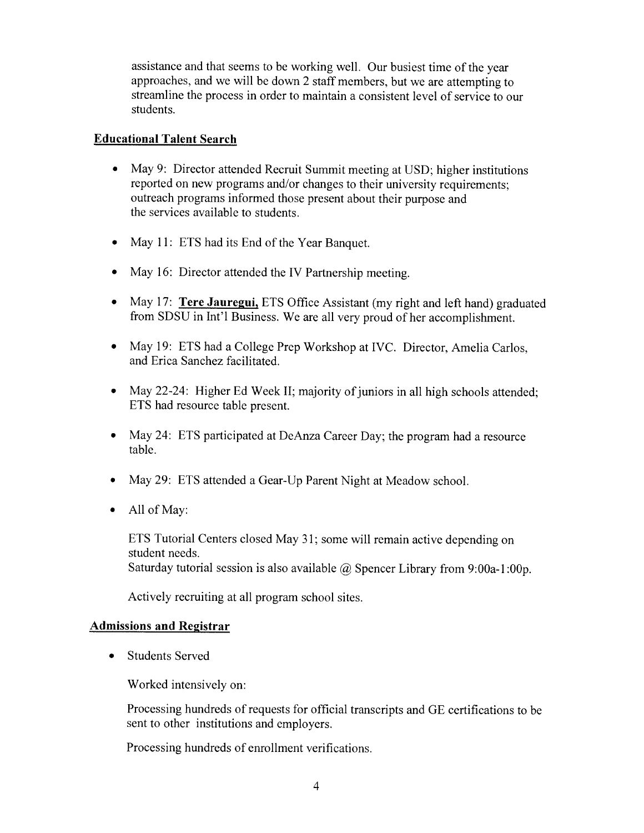assistance and that seems to be working well. Our busiest time of the year approaches, and we will be down 2 staff members, but we are attempting to streamline the process in order to maintain a consistent level of service to our students.

### **Educational Talent Search**

- May 9: Director attended Recruit Summit meeting at USD; higher institutions reported on new programs and/or changes to their university requirements; outreach programs informed those present about their purpose and the services available to students.
- May 11: ETS had its End of the Year Banquet.
- May 16: Director attended the IV Partnership meeting.
- May 17: Tere Jauregui, ETS Office Assistant (my right and left hand) graduated from SDSU in Int'l Business. We are all very proud of her accomplishment.
- May 19: ETS had a College Prep Workshop at IVC. Director, Amelia Carlos, and Erica Sanchez facilitated.
- May 22-24: Higher Ed Week II; majority of juniors in all high schools attended: ETS had resource table present.
- May 24: ETS participated at DeAnza Career Day; the program had a resource table.
- May 29: ETS attended a Gear-Up Parent Night at Meadow school.
- $\bullet$  All of May:

ETS Tutorial Centers closed May 31; some will remain active depending on student needs. Saturday tutorial session is also available  $\omega$  Spencer Library from 9:00a-1:00p.

Actively recruiting at all program school sites.

### **Admissions and Registrar**

**Students Served**  $\bullet$ 

Worked intensively on:

Processing hundreds of requests for official transcripts and GE certifications to be sent to other institutions and employers.

Processing hundreds of enrollment verifications.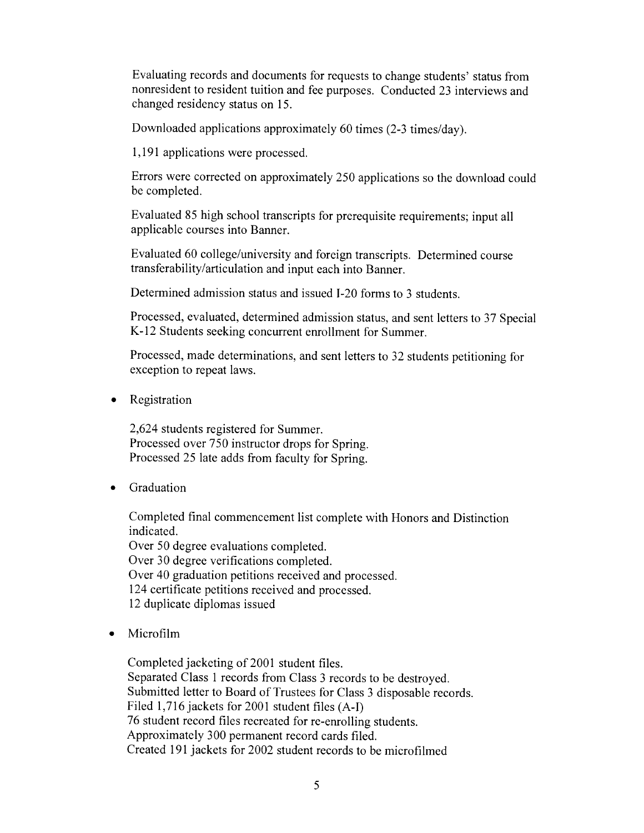Evaluating records and documents for requests to change students' status from nonresident to resident tuition and fee purposes. Conducted 23 interviews and changed residency status on 15.

Downloaded applications approximately 60 times (2-3 times/day).

1,191 applications were processed.

Errors were corrected on approximately 250 applications so the download could be completed.

Evaluated 85 high school transcripts for prerequisite requirements; input all applicable courses into Banner.

Evaluated 60 college/university and foreign transcripts. Determined course transferability/articulation and input each into Banner.

Determined admission status and issued I-20 forms to 3 students.

Processed, evaluated, determined admission status, and sent letters to 37 Special K-12 Students seeking concurrent enrollment for Summer.

Processed, made determinations, and sent letters to 32 students petitioning for exception to repeat laws.

Registration

2,624 students registered for Summer. Processed over 750 instructor drops for Spring. Processed 25 late adds from faculty for Spring.

Graduation

Completed final commencement list complete with Honors and Distinction indicated.

Over 50 degree evaluations completed. Over 30 degree verifications completed. Over 40 graduation petitions received and processed. 124 certificate petitions received and processed. 12 duplicate diplomas issued

Microfilm

Completed jacketing of 2001 student files. Separated Class 1 records from Class 3 records to be destroyed. Submitted letter to Board of Trustees for Class 3 disposable records. Filed 1,716 jackets for 2001 student files (A-I) 76 student record files recreated for re-enrolling students. Approximately 300 permanent record cards filed. Created 191 jackets for 2002 student records to be microfilmed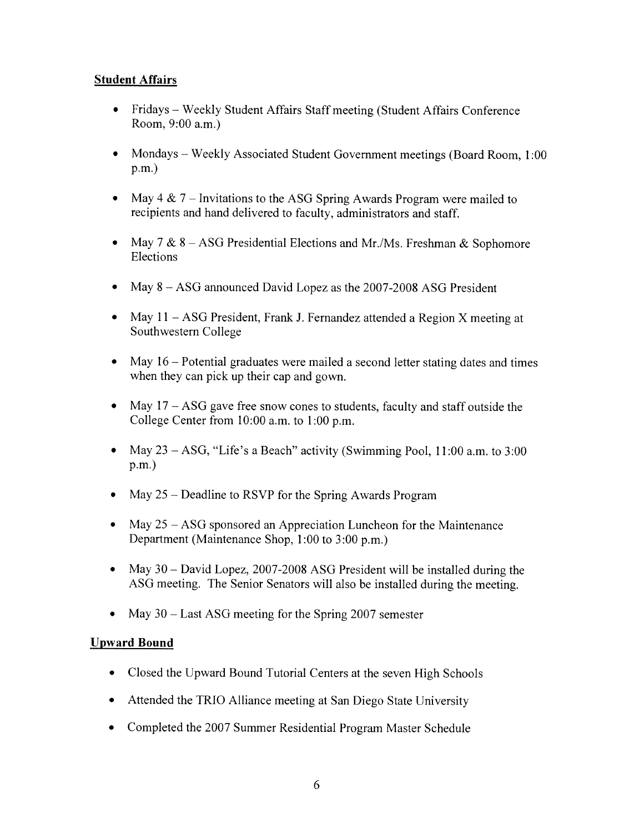### **Student Affairs**

- Fridays Weekly Student Affairs Staff meeting (Student Affairs Conference Room, 9:00 a.m.)
- Mondays Weekly Associated Student Government meetings (Board Room, 1:00  $p.m.$
- May 4 & 7 Invitations to the ASG Spring Awards Program were mailed to recipients and hand delivered to faculty, administrators and staff.
- May 7 & 8 ASG Presidential Elections and Mr./Ms. Freshman & Sophomore Elections
- May  $8 ASG$  announced David Lopez as the 2007-2008 ASG President
- May  $11 ASG$  President, Frank J. Fernandez attended a Region X meeting at Southwestern College
- May  $16$  Potential graduates were mailed a second letter stating dates and times when they can pick up their cap and gown.
- May  $17 ASG$  gave free snow cones to students, faculty and staff outside the College Center from  $10:00$  a.m. to  $1:00$  p.m.
- May  $23 ASG$ , "Life's a Beach" activity (Swimming Pool, 11:00 a.m. to 3:00  $p.m.$
- May  $25$  Deadline to RSVP for the Spring Awards Program
- May  $25 ASG$  sponsored an Appreciation Luncheon for the Maintenance Department (Maintenance Shop, 1:00 to 3:00 p.m.)
- May  $30 -$  David Lopez, 2007-2008 ASG President will be installed during the ASG meeting. The Senior Senators will also be installed during the meeting.
- May 30 Last ASG meeting for the Spring 2007 semester

### **Upward Bound**

- Closed the Upward Bound Tutorial Centers at the seven High Schools  $\bullet$
- Attended the TRIO Alliance meeting at San Diego State University
- $\bullet$ Completed the 2007 Summer Residential Program Master Schedule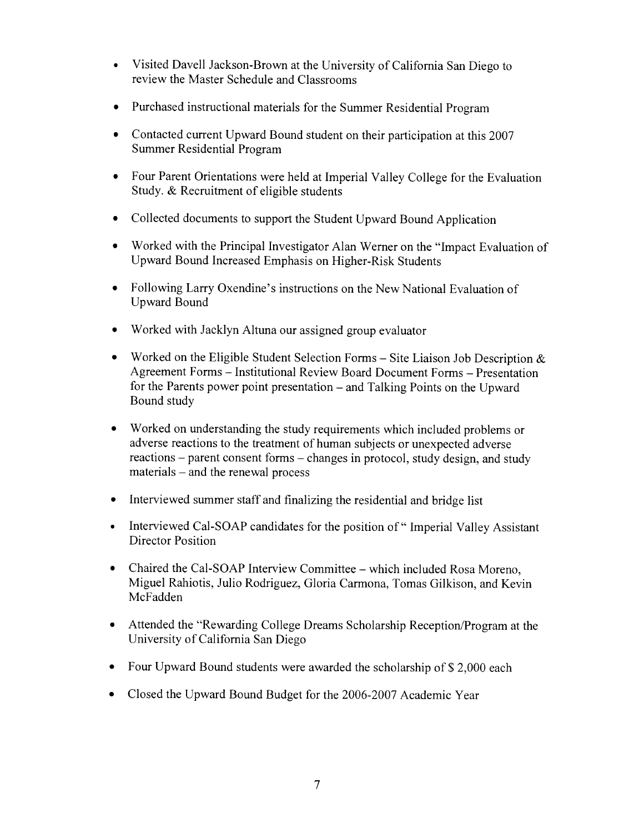- Visited Davell Jackson-Brown at the University of California San Diego to review the Master Schedule and Classrooms
- Purchased instructional materials for the Summer Residential Program
- Contacted current Upward Bound student on their participation at this 2007 **Summer Residential Program**
- Four Parent Orientations were held at Imperial Valley College for the Evaluation Study. & Recruitment of eligible students
- Collected documents to support the Student Upward Bound Application
- Worked with the Principal Investigator Alan Werner on the "Impact Evaluation of Upward Bound Increased Emphasis on Higher-Risk Students
- Following Larry Oxendine's instructions on the New National Evaluation of **Upward Bound**
- Worked with Jacklyn Altuna our assigned group evaluator
- Worked on the Eligible Student Selection Forms Site Liaison Job Description & Agreement Forms – Institutional Review Board Document Forms – Presentation for the Parents power point presentation – and Talking Points on the Upward Bound study
- Worked on understanding the study requirements which included problems or  $\bullet$ adverse reactions to the treatment of human subjects or unexpected adverse reactions – parent consent forms – changes in protocol, study design, and study materials – and the renewal process
- Interviewed summer staff and finalizing the residential and bridge list
- Interviewed Cal-SOAP candidates for the position of "Imperial Valley Assistant Director Position
- Chaired the Cal-SOAP Interview Committee which included Rosa Moreno, Miguel Rahiotis, Julio Rodriguez, Gloria Carmona, Tomas Gilkison, and Kevin McFadden
- Attended the "Rewarding College Dreams Scholarship Reception/Program at the  $\bullet$ University of California San Diego
- $\bullet$ Four Upward Bound students were awarded the scholarship of \$2,000 each
- Closed the Upward Bound Budget for the 2006-2007 Academic Year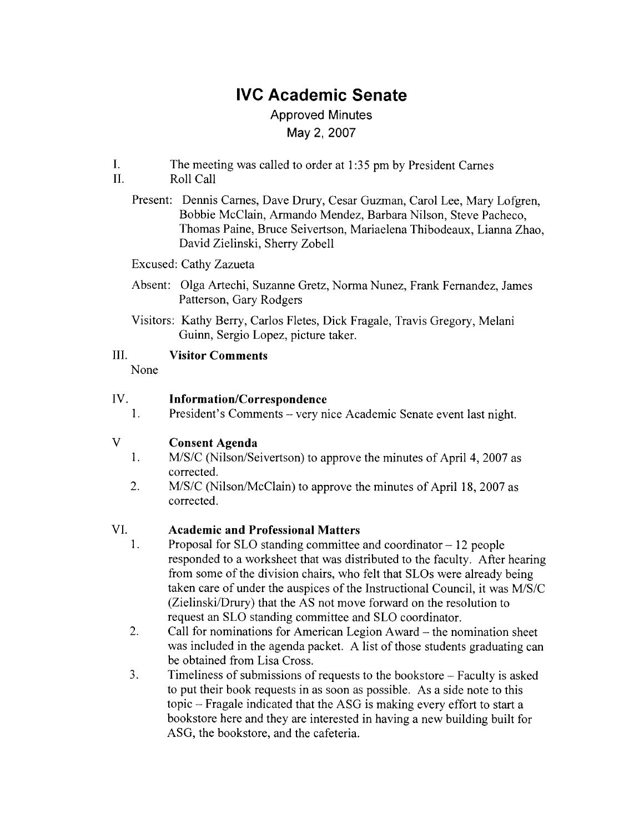# **IVC Academic Senate**

### **Approved Minutes** May 2, 2007

- $\mathbf{L}$ The meeting was called to order at 1:35 pm by President Carnes
- $\Pi$ . Roll Call
	- Present: Dennis Carnes, Dave Drury, Cesar Guzman, Carol Lee, Mary Lofgren, Bobbie McClain, Armando Mendez, Barbara Nilson, Steve Pacheco, Thomas Paine, Bruce Seivertson, Mariaelena Thibodeaux, Lianna Zhao. David Zielinski, Sherry Zobell

### **Excused: Cathy Zazueta**

- Absent: Olga Artechi, Suzanne Gretz, Norma Nunez, Frank Fernandez, James Patterson, Gary Rodgers
- Visitors: Kathy Berry, Carlos Fletes, Dick Fragale, Travis Gregory, Melani Guinn, Sergio Lopez, picture taker.

#### III. **Visitor Comments**

None

#### IV. **Information/Correspondence**

President's Comments – very nice Academic Senate event last night.  $1<sub>1</sub>$ 

#### $\mathbf{V}$ **Consent Agenda**

- M/S/C (Nilson/Seivertson) to approve the minutes of April 4, 2007 as  $1.$ corrected.
- $2.$ M/S/C (Nilson/McClain) to approve the minutes of April 18, 2007 as corrected

#### VI. **Academic and Professional Matters**

- $1.$ Proposal for SLO standing committee and coordinator – 12 people responded to a worksheet that was distributed to the faculty. After hearing from some of the division chairs, who felt that SLOs were already being taken care of under the auspices of the Instructional Council, it was M/S/C (Zielinski/Drury) that the AS not move forward on the resolution to request an SLO standing committee and SLO coordinator.
- 2. Call for nominations for American Legion Award – the nomination sheet was included in the agenda packet. A list of those students graduating can be obtained from Lisa Cross.
- $3<sub>1</sub>$ Timeliness of submissions of requests to the bookstore – Faculty is asked to put their book requests in as soon as possible. As a side note to this topic – Fragale indicated that the ASG is making every effort to start a bookstore here and they are interested in having a new building built for ASG, the bookstore, and the cafeteria.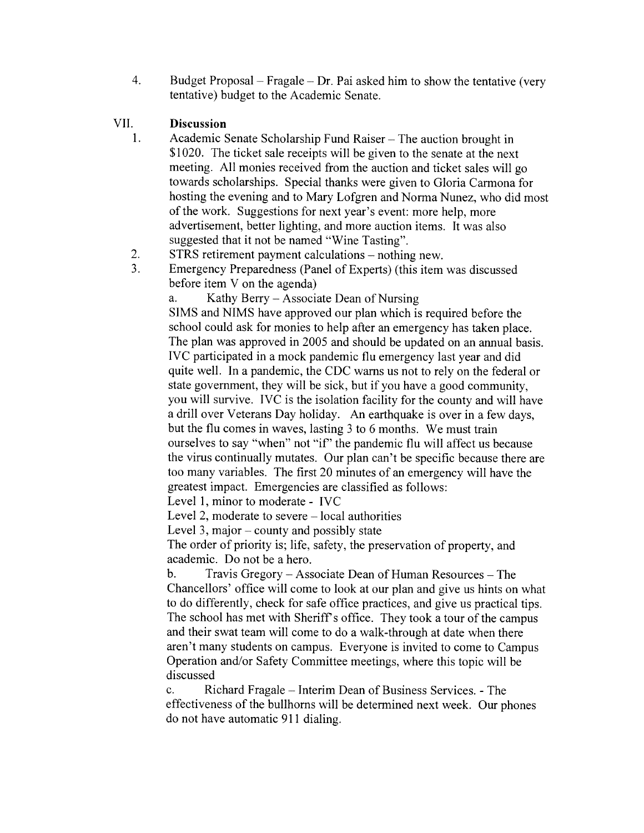$4.$ Budget Proposal – Fragale – Dr. Pai asked him to show the tentative (very tentative) budget to the Academic Senate.

#### VII. **Discussion**

- Academic Senate Scholarship Fund Raiser The auction brought in  $\mathbf{1}$ \$1020. The ticket sale receipts will be given to the senate at the next meeting. All monies received from the auction and ticket sales will go towards scholarships. Special thanks were given to Gloria Carmona for hosting the evening and to Mary Lofgren and Norma Nunez, who did most of the work. Suggestions for next year's event: more help, more advertisement, better lighting, and more auction items. It was also suggested that it not be named "Wine Tasting".
- $\overline{2}$ . STRS retirement payment calculations – nothing new.
- $\mathcal{E}$ Emergency Preparedness (Panel of Experts) (this item was discussed before item V on the agenda)

Kathy Berry – Associate Dean of Nursing  $\mathbf{a}$ . SIMS and NIMS have approved our plan which is required before the school could ask for monies to help after an emergency has taken place. The plan was approved in 2005 and should be updated on an annual basis. IVC participated in a mock pandemic flu emergency last year and did quite well. In a pandemic, the CDC warns us not to rely on the federal or state government, they will be sick, but if you have a good community. you will survive. IVC is the isolation facility for the county and will have a drill over Veterans Day holiday. An earthquake is over in a few days, but the flu comes in waves, lasting 3 to 6 months. We must train ourselves to say "when" not "if" the pandemic flu will affect us because the virus continually mutates. Our plan can't be specific because there are too many variables. The first 20 minutes of an emergency will have the greatest impact. Emergencies are classified as follows:

Level 1, minor to moderate - IVC

Level 2, moderate to severe – local authorities

Level 3, major – county and possibly state

The order of priority is; life, safety, the preservation of property, and academic. Do not be a hero.

 $b.$ Travis Gregory – Associate Dean of Human Resources – The Chancellors' office will come to look at our plan and give us hints on what to do differently, check for safe office practices, and give us practical tips. The school has met with Sheriff's office. They took a tour of the campus and their swat team will come to do a walk-through at date when there aren't many students on campus. Everyone is invited to come to Campus Operation and/or Safety Committee meetings, where this topic will be discussed

Richard Fragale – Interim Dean of Business Services. - The  $\mathbf{c}$ . effectiveness of the bullhorns will be determined next week. Our phones do not have automatic 911 dialing.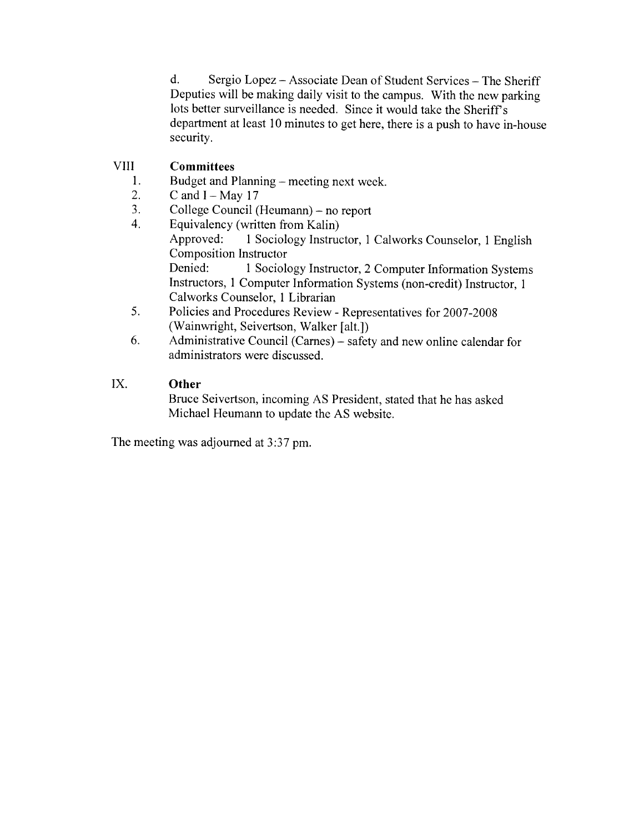$\mathbf{d}$ . Sergio Lopez – Associate Dean of Student Services – The Sheriff Deputies will be making daily visit to the campus. With the new parking lots better surveillance is needed. Since it would take the Sheriff's department at least 10 minutes to get here, there is a push to have in-house security.

#### **VIII Committees**

- $1.$ Budget and Planning – meeting next week.
- $\overline{2}$ . C and  $I - May 17$
- $3<sub>1</sub>$ College Council (Heumann) – no report
- $4.$ Equivalency (written from Kalin) 1 Sociology Instructor, 1 Calworks Counselor, 1 English Approved: **Composition Instructor** Denied: 1 Sociology Instructor, 2 Computer Information Systems Instructors, 1 Computer Information Systems (non-credit) Instructor, 1 Calworks Counselor, 1 Librarian
- $5<sub>1</sub>$ Policies and Procedures Review - Representatives for 2007-2008 (Wainwright, Seivertson, Walker [alt.])
- 6. Administrative Council (Carnes) – safety and new online calendar for administrators were discussed.

#### IX. Other

Bruce Seivertson, incoming AS President, stated that he has asked Michael Heumann to update the AS website.

The meeting was adjourned at 3:37 pm.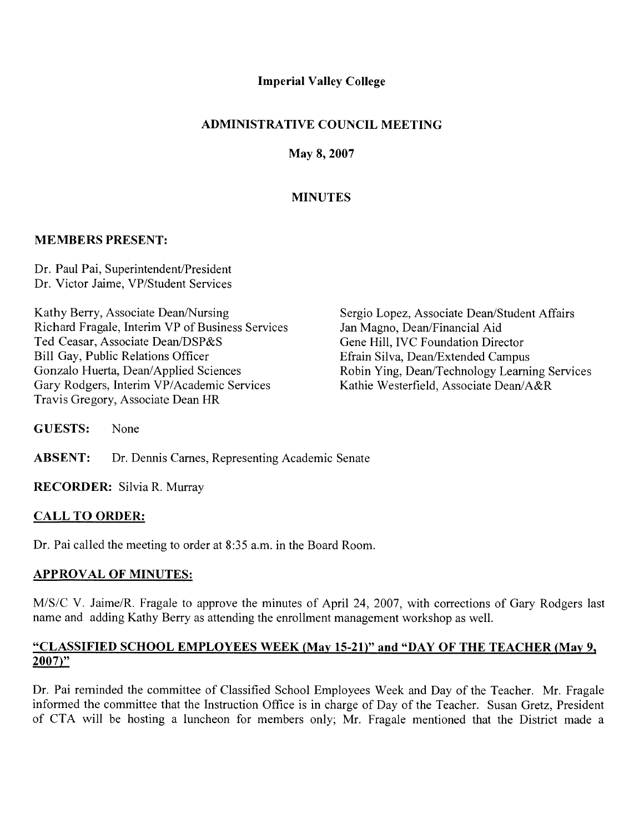### **Imperial Valley College**

### **ADMINISTRATIVE COUNCIL MEETING**

May 8, 2007

## **MINUTES**

### **MEMBERS PRESENT:**

Dr. Paul Pai, Superintendent/President Dr. Victor Jaime, VP/Student Services

Kathy Berry, Associate Dean/Nursing Richard Fragale, Interim VP of Business Services Ted Ceasar, Associate Dean/DSP&S Bill Gay, Public Relations Officer Gonzalo Huerta, Dean/Applied Sciences Gary Rodgers, Interim VP/Academic Services Travis Gregory, Associate Dean HR

Sergio Lopez, Associate Dean/Student Affairs Jan Magno, Dean/Financial Aid Gene Hill, IVC Foundation Director Efrain Silva, Dean/Extended Campus Robin Ying, Dean/Technology Learning Services Kathie Westerfield, Associate Dean/A&R

**GUESTS:** None

**ABSENT:** Dr. Dennis Carnes, Representing Academic Senate

**RECORDER:** Silvia R. Murray

### **CALL TO ORDER:**

Dr. Pai called the meeting to order at 8:35 a.m. in the Board Room.

### **APPROVAL OF MINUTES:**

M/S/C V. Jaime/R. Fragale to approve the minutes of April 24, 2007, with corrections of Gary Rodgers last name and adding Kathy Berry as attending the enrollment management workshop as well.

### "CLASSIFIED SCHOOL EMPLOYEES WEEK (May 15-21)" and "DAY OF THE TEACHER (May 9,  $2007$ "

Dr. Pai reminded the committee of Classified School Employees Week and Day of the Teacher. Mr. Fragale informed the committee that the Instruction Office is in charge of Day of the Teacher. Susan Gretz, President of CTA will be hosting a luncheon for members only; Mr. Fragale mentioned that the District made a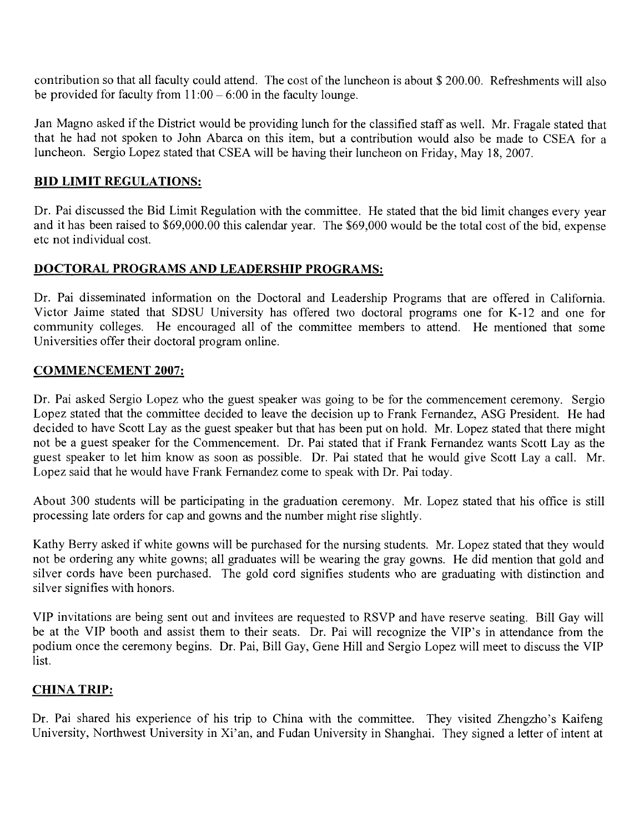contribution so that all faculty could attend. The cost of the luncheon is about \$200.00. Refreshments will also be provided for faculty from  $11:00 - 6:00$  in the faculty lounge.

Jan Magno asked if the District would be providing lunch for the classified staff as well. Mr. Fragale stated that that he had not spoken to John Abarca on this item, but a contribution would also be made to CSEA for a luncheon. Sergio Lopez stated that CSEA will be having their luncheon on Friday, May 18, 2007.

### **BID LIMIT REGULATIONS:**

Dr. Pai discussed the Bid Limit Regulation with the committee. He stated that the bid limit changes every year and it has been raised to  $$69,000.00$  this calendar year. The  $$69,000$  would be the total cost of the bid, expense etc not individual cost.

### DOCTORAL PROGRAMS AND LEADERSHIP PROGRAMS:

Dr. Pai disseminated information on the Doctoral and Leadership Programs that are offered in California. Victor Jaime stated that SDSU University has offered two doctoral programs one for K-12 and one for community colleges. He encouraged all of the committee members to attend. He mentioned that some Universities offer their doctoral program online.

### **COMMENCEMENT 2007:**

Dr. Pai asked Sergio Lopez who the guest speaker was going to be for the commencement ceremony. Sergio Lopez stated that the committee decided to leave the decision up to Frank Fernandez, ASG President. He had decided to have Scott Lay as the guest speaker but that has been put on hold. Mr. Lopez stated that there might not be a guest speaker for the Commencement. Dr. Pai stated that if Frank Fernandez wants Scott Lay as the guest speaker to let him know as soon as possible. Dr. Pai stated that he would give Scott Lay a call. Mr. Lopez said that he would have Frank Fernandez come to speak with Dr. Pai today.

About 300 students will be participating in the graduation ceremony. Mr. Lopez stated that his office is still processing late orders for cap and gowns and the number might rise slightly.

Kathy Berry asked if white gowns will be purchased for the nursing students. Mr. Lopez stated that they would not be ordering any white gowns; all graduates will be wearing the gray gowns. He did mention that gold and silver cords have been purchased. The gold cord signifies students who are graduating with distinction and silver signifies with honors.

VIP invitations are being sent out and invitees are requested to RSVP and have reserve seating. Bill Gay will be at the VIP booth and assist them to their seats. Dr. Pai will recognize the VIP's in attendance from the podium once the ceremony begins. Dr. Pai, Bill Gay, Gene Hill and Sergio Lopez will meet to discuss the VIP list.

### **CHINA TRIP:**

Dr. Pai shared his experience of his trip to China with the committee. They visited Zhengzho's Kaifeng University, Northwest University in Xi'an, and Fudan University in Shanghai. They signed a letter of intent at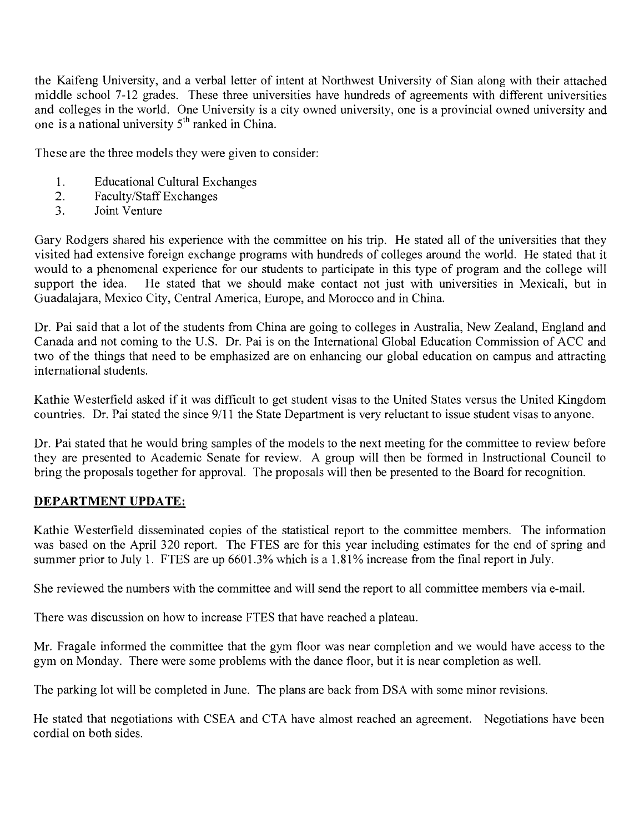the Kaifeng University, and a verbal letter of intent at Northwest University of Sian along with their attached middle school 7-12 grades. These three universities have hundreds of agreements with different universities and colleges in the world. One University is a city owned university, one is a provincial owned university and one is a national university 5<sup>th</sup> ranked in China.

These are the three models they were given to consider:

- $1<sup>1</sup>$ **Educational Cultural Exchanges**
- $2.$ **Faculty/Staff Exchanges**
- $3<sub>1</sub>$ Joint Venture

Gary Rodgers shared his experience with the committee on his trip. He stated all of the universities that they visited had extensive foreign exchange programs with hundreds of colleges around the world. He stated that it would to a phenomenal experience for our students to participate in this type of program and the college will support the idea. He stated that we should make contact not just with universities in Mexicali, but in Guadalajara, Mexico City, Central America, Europe, and Morocco and in China.

Dr. Pai said that a lot of the students from China are going to colleges in Australia, New Zealand, England and Canada and not coming to the U.S. Dr. Pai is on the International Global Education Commission of ACC and two of the things that need to be emphasized are on enhancing our global education on campus and attracting international students.

Kathie Westerfield asked if it was difficult to get student visas to the United States versus the United Kingdom countries. Dr. Pai stated the since 9/11 the State Department is very reluctant to issue student visas to anyone.

Dr. Pai stated that he would bring samples of the models to the next meeting for the committee to review before they are presented to Academic Senate for review. A group will then be formed in Instructional Council to bring the proposals together for approval. The proposals will then be presented to the Board for recognition.

### **DEPARTMENT UPDATE:**

Kathie Westerfield disseminated copies of the statistical report to the committee members. The information was based on the April 320 report. The FTES are for this year including estimates for the end of spring and summer prior to July 1. FTES are up 6601.3% which is a 1.81% increase from the final report in July.

She reviewed the numbers with the committee and will send the report to all committee members via e-mail.

There was discussion on how to increase FTES that have reached a plateau.

Mr. Fragale informed the committee that the gym floor was near completion and we would have access to the gym on Monday. There were some problems with the dance floor, but it is near completion as well.

The parking lot will be completed in June. The plans are back from DSA with some minor revisions.

He stated that negotiations with CSEA and CTA have almost reached an agreement. Negotiations have been cordial on both sides.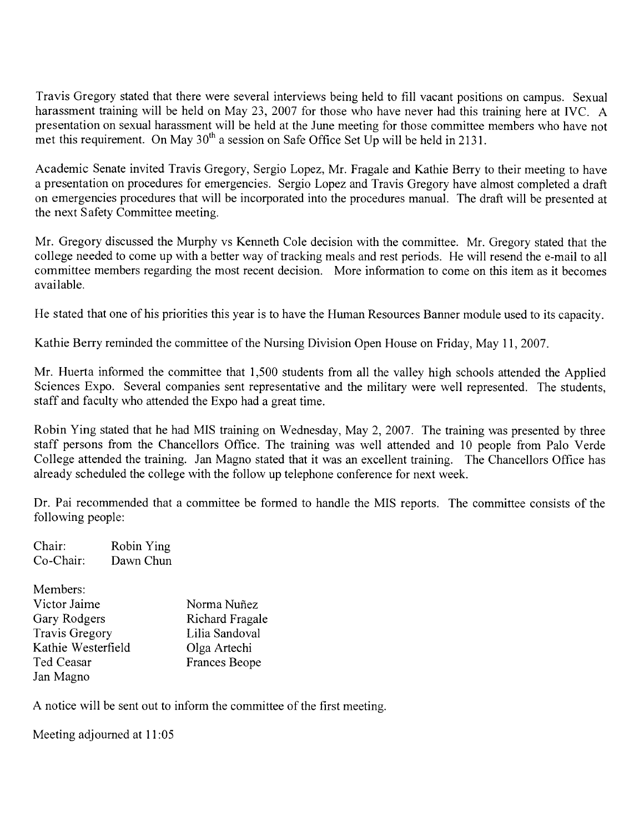Travis Gregory stated that there were several interviews being held to fill vacant positions on campus. Sexual harassment training will be held on May 23, 2007 for those who have never had this training here at IVC. A presentation on sexual harassment will be held at the June meeting for those committee members who have not met this requirement. On May  $30<sup>th</sup>$  a session on Safe Office Set Up will be held in 2131.

Academic Senate invited Travis Gregory, Sergio Lopez, Mr. Fragale and Kathie Berry to their meeting to have a presentation on procedures for emergencies. Sergio Lopez and Travis Gregory have almost completed a draft on emergencies procedures that will be incorporated into the procedures manual. The draft will be presented at the next Safety Committee meeting.

Mr. Gregory discussed the Murphy vs Kenneth Cole decision with the committee. Mr. Gregory stated that the college needed to come up with a better way of tracking meals and rest periods. He will resend the e-mail to all committee members regarding the most recent decision. More information to come on this item as it becomes available.

He stated that one of his priorities this year is to have the Human Resources Banner module used to its capacity.

Kathie Berry reminded the committee of the Nursing Division Open House on Friday, May 11, 2007.

Mr. Huerta informed the committee that 1,500 students from all the valley high schools attended the Applied Sciences Expo. Several companies sent representative and the military were well represented. The students, staff and faculty who attended the Expo had a great time.

Robin Ying stated that he had MIS training on Wednesday, May 2, 2007. The training was presented by three staff persons from the Chancellors Office. The training was well attended and 10 people from Palo Verde College attended the training. Jan Magno stated that it was an excellent training. The Chancellors Office has already scheduled the college with the follow up telephone conference for next week.

Dr. Pai recommended that a committee be formed to handle the MIS reports. The committee consists of the following people:

Chair: Robin Ying Co-Chair: Dawn Chun

| Members:              |                        |
|-----------------------|------------------------|
| Victor Jaime          | Norma Nuñez            |
| Gary Rodgers          | <b>Richard Fragale</b> |
| <b>Travis Gregory</b> | Lilia Sandoval         |
| Kathie Westerfield    | Olga Artechi           |
| Ted Ceasar            | <b>Frances Beope</b>   |
| Jan Magno             |                        |

A notice will be sent out to inform the committee of the first meeting.

Meeting adjourned at 11:05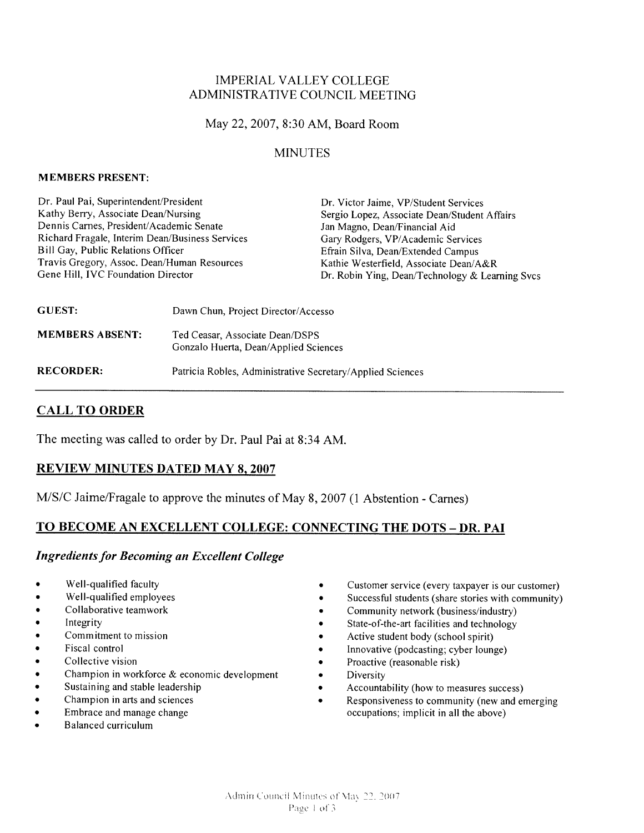### **IMPERIAL VALLEY COLLEGE** ADMINISTRATIVE COUNCIL MEETING

#### May 22, 2007, 8:30 AM, Board Room

#### **MINUTES**

#### **MEMBERS PRESENT:**

| Dr. Paul Pai, Superintendent/President                                            |                                     | Dr. Victor Jaime, VP/Student Services                                        |  |
|-----------------------------------------------------------------------------------|-------------------------------------|------------------------------------------------------------------------------|--|
| Kathy Berry, Associate Dean/Nursing                                               |                                     | Sergio Lopez, Associate Dean/Student Affairs                                 |  |
| Dennis Carnes, President/Academic Senate                                          |                                     | Jan Magno, Dean/Financial Aid                                                |  |
| Richard Fragale, Interim Dean/Business Services                                   |                                     | Gary Rodgers, VP/Academic Services                                           |  |
| Bill Gay, Public Relations Officer<br>Travis Gregory, Assoc. Dean/Human Resources |                                     | Efrain Silva, Dean/Extended Campus<br>Kathie Westerfield, Associate Dean/A&R |  |
|                                                                                   |                                     |                                                                              |  |
|                                                                                   |                                     |                                                                              |  |
| <b>GUEST:</b>                                                                     | Dawn Chun, Project Director/Accesso |                                                                              |  |

| <b>MEMBERS ABSENT:</b> | Ted Ceasar, Associate Dean/DSPS<br>Gonzalo Huerta, Dean/Applied Sciences |
|------------------------|--------------------------------------------------------------------------|
| <b>RECORDER:</b>       | Patricia Robles, Administrative Secretary/Applied Sciences               |

#### **CALL TO ORDER**

The meeting was called to order by Dr. Paul Pai at 8:34 AM.

### **REVIEW MINUTES DATED MAY 8, 2007**

M/S/C Jaime/Fragale to approve the minutes of May 8, 2007 (1 Abstention - Carnes)

### TO BECOME AN EXCELLENT COLLEGE: CONNECTING THE DOTS - DR. PAI

#### **Ingredients for Becoming an Excellent College**

- Well-qualified faculty  $\bullet$
- Well-qualified employees
- Collaborative teamwork
- Integrity
- Commitment to mission
- Fiscal control
- Collective vision
- Champion in workforce & economic development
- Sustaining and stable leadership  $\bullet$
- Champion in arts and sciences
- Embrace and manage change
- Balanced curriculum
- Customer service (every taxpayer is our customer)  $\bullet$
- Successful students (share stories with community)  $\bullet$
- Community network (business/industry)
- State-of-the-art facilities and technology
- Active student body (school spirit)
- Innovative (podcasting; cyber lounge)
- Proactive (reasonable risk)
- Diversity
- Accountability (how to measures success)
- Responsiveness to community (new and emerging occupations; implicit in all the above)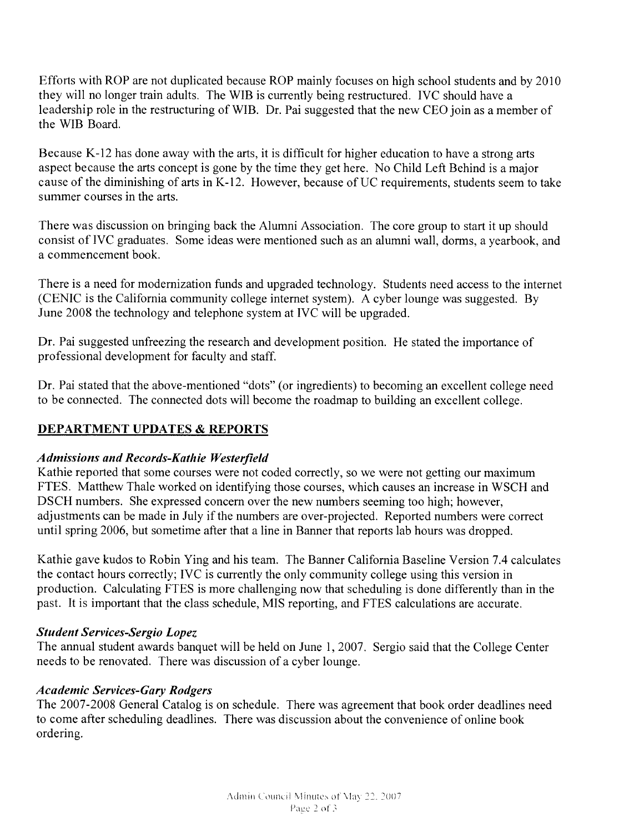Efforts with ROP are not duplicated because ROP mainly focuses on high school students and by 2010 they will no longer train adults. The WIB is currently being restructured. IVC should have a leadership role in the restructuring of WIB. Dr. Pai suggested that the new CEO join as a member of the WIB Board.

Because K-12 has done away with the arts, it is difficult for higher education to have a strong arts aspect because the arts concept is gone by the time they get here. No Child Left Behind is a major cause of the diminishing of arts in K-12. However, because of UC requirements, students seem to take summer courses in the arts.

There was discussion on bringing back the Alumni Association. The core group to start it up should consist of IVC graduates. Some ideas were mentioned such as an alumni wall, dorms, a vearbook, and a commencement book.

There is a need for modernization funds and upgraded technology. Students need access to the internet (CENIC is the California community college internet system). A cyber lounge was suggested. By June 2008 the technology and telephone system at IVC will be upgraded.

Dr. Pai suggested unfreezing the research and development position. He stated the importance of professional development for faculty and staff.

Dr. Pai stated that the above-mentioned "dots" (or ingredients) to becoming an excellent college need to be connected. The connected dots will become the roadmap to building an excellent college.

## **DEPARTMENT UPDATES & REPORTS**

### **Admissions and Records-Kathie Westerfield**

Kathie reported that some courses were not coded correctly, so we were not getting our maximum FTES. Matthew Thale worked on identifying those courses, which causes an increase in WSCH and DSCH numbers. She expressed concern over the new numbers seeming too high; however, adjustments can be made in July if the numbers are over-projected. Reported numbers were correct until spring 2006, but sometime after that a line in Banner that reports lab hours was dropped.

Kathie gave kudos to Robin Ying and his team. The Banner California Baseline Version 7.4 calculates the contact hours correctly; IVC is currently the only community college using this version in production. Calculating FTES is more challenging now that scheduling is done differently than in the past. It is important that the class schedule, MIS reporting, and FTES calculations are accurate.

### **Student Services-Sergio Lopez**

The annual student awards banquet will be held on June 1, 2007. Sergio said that the College Center needs to be renovated. There was discussion of a cyber lounge.

### **Academic Services-Gary Rodgers**

The 2007-2008 General Catalog is on schedule. There was agreement that book order deadlines need to come after scheduling deadlines. There was discussion about the convenience of online book ordering.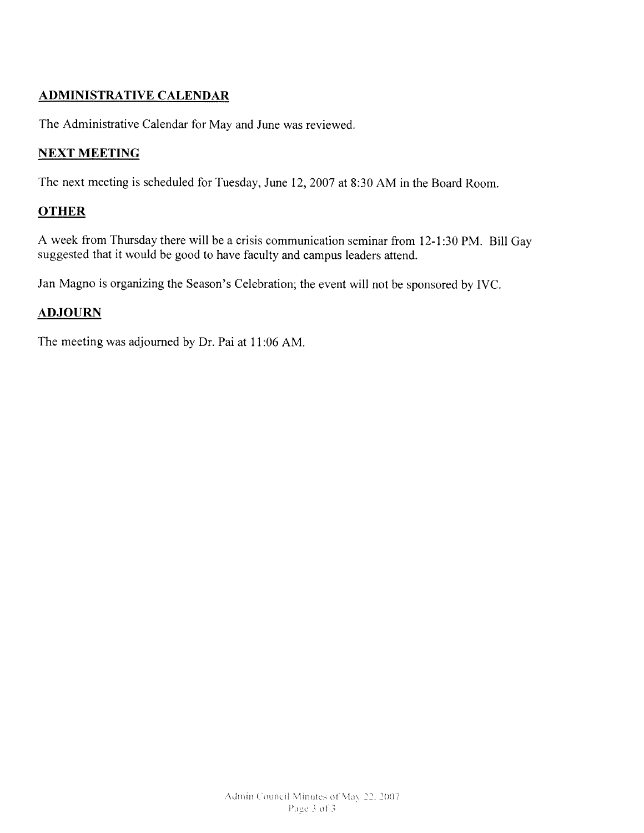### **ADMINISTRATIVE CALENDAR**

The Administrative Calendar for May and June was reviewed.

### **NEXT MEETING**

The next meeting is scheduled for Tuesday, June 12, 2007 at 8:30 AM in the Board Room.

## **OTHER**

A week from Thursday there will be a crisis communication seminar from 12-1:30 PM. Bill Gay suggested that it would be good to have faculty and campus leaders attend.

Jan Magno is organizing the Season's Celebration; the event will not be sponsored by IVC.

### **ADJOURN**

The meeting was adjourned by Dr. Pai at 11:06 AM.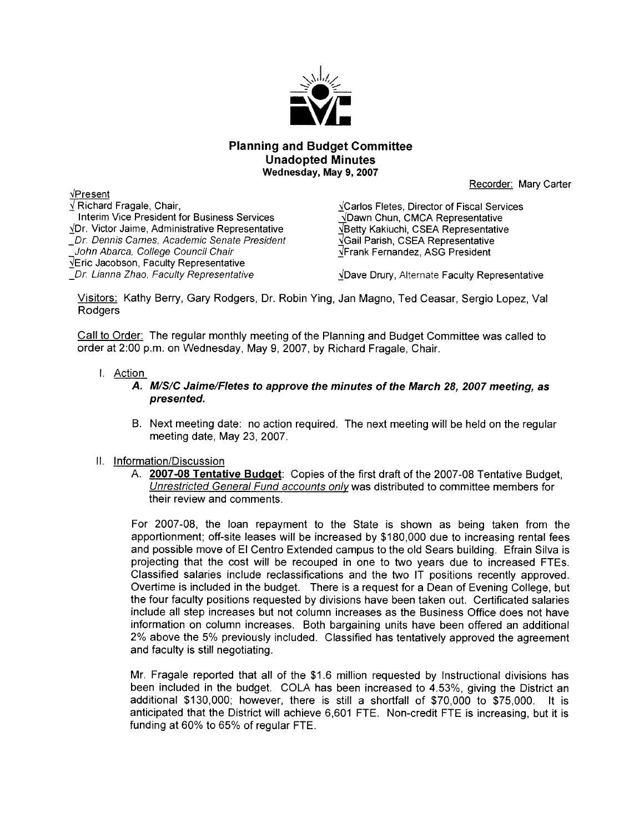

#### **Planning and Budget Committee Unadopted Minutes** Wednesday, May 9, 2007

Recorder: Mary Carter

 $\sqrt{\mathsf{Richard\,}}$  Fragale, Chair, Interim Vice President for Business Services VDr. Victor Jaime, Administrative Representative Dr. Dennis Carnes, Academic Senate President -<br>John Abarca, College Council Chair VEric Jacobson, Faculty Representative Dr. Lianna Zhao, Faculty Representative

**VCarlos Fletes, Director of Fiscal Services** √Dawn Chun, CMCA Representative √Betty Kakiuchi, CSEA Representative VGail Parish, CSEA Representative VFrank Fernandez, ASG President

VDave Drury, Alternate Faculty Representative

Visitors: Kathy Berry, Gary Rodgers, Dr. Robin Ying, Jan Magno, Ted Ceasar, Sergio Lopez, Val **Rodgers** 

Call to Order: The regular monthly meeting of the Planning and Budget Committee was called to order at 2:00 p.m. on Wednesday, May 9, 2007, by Richard Fragale, Chair.

I. Action

 $\sqrt{P}$ resent

- A. M/S/C Jaime/Fletes to approve the minutes of the March 28, 2007 meeting, as presented.
- B. Next meeting date: no action required. The next meeting will be held on the regular meeting date, May 23, 2007.

#### II. Information/Discussion

A. 2007-08 Tentative Budget: Copies of the first draft of the 2007-08 Tentative Budget, Unrestricted General Fund accounts only was distributed to committee members for their review and comments.

For 2007-08, the loan repayment to the State is shown as being taken from the apportionment; off-site leases will be increased by \$180,000 due to increasing rental fees and possible move of El Centro Extended campus to the old Sears building. Efrain Silva is projecting that the cost will be recouped in one to two years due to increased FTEs. Classified salaries include reclassifications and the two IT positions recently approved. Overtime is included in the budget. There is a request for a Dean of Evening College, but the four faculty positions requested by divisions have been taken out. Certificated salaries include all step increases but not column increases as the Business Office does not have information on column increases. Both bargaining units have been offered an additional 2% above the 5% previously included. Classified has tentatively approved the agreement and faculty is still negotiating.

Mr. Fragale reported that all of the \$1.6 million requested by Instructional divisions has been included in the budget. COLA has been increased to 4.53%, giving the District an additional \$130,000; however, there is still a shortfall of \$70,000 to \$75,000. It is anticipated that the District will achieve 6,601 FTE. Non-credit FTE is increasing, but it is funding at 60% to 65% of regular FTE.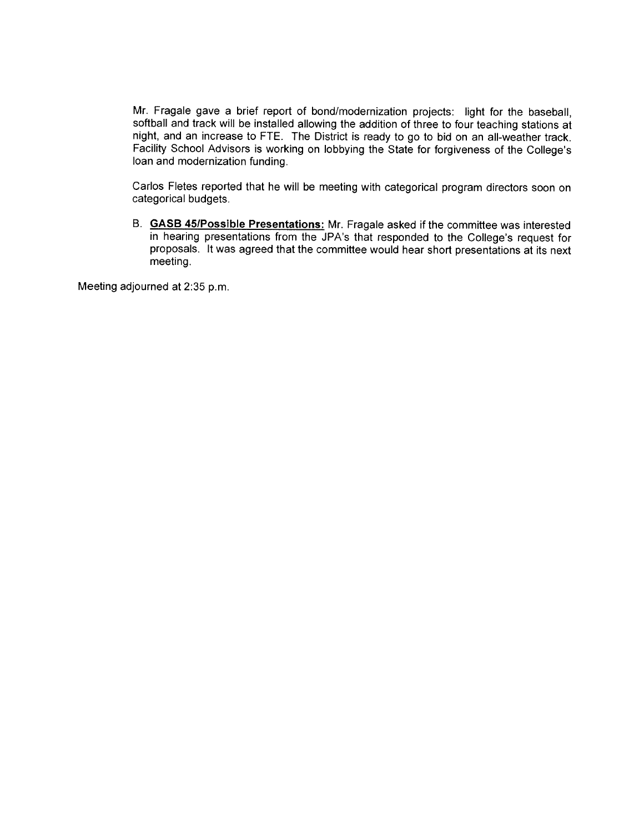Mr. Fragale gave a brief report of bond/modernization projects: light for the baseball, softball and track will be installed allowing the addition of three to four teaching stations at night, and an increase to FTE. The District is ready to go to bid on an all-weather track. Facility School Advisors is working on lobbying the State for forgiveness of the College's loan and modernization funding.

Carlos Fletes reported that he will be meeting with categorical program directors soon on categorical budgets.

B. GASB 45/Possible Presentations: Mr. Fragale asked if the committee was interested in hearing presentations from the JPA's that responded to the College's request for proposals. It was agreed that the committee would hear short presentations at its next meeting.

Meeting adjourned at 2:35 p.m.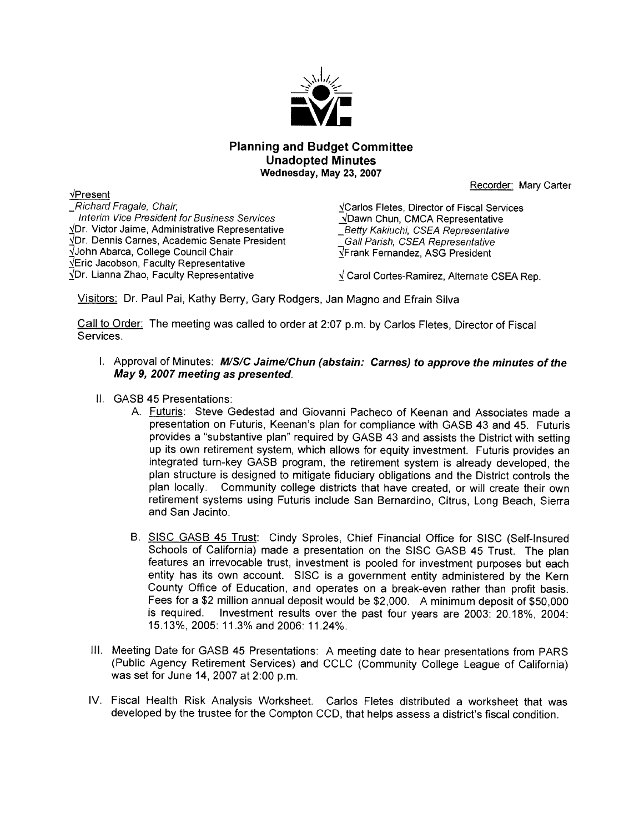

#### **Planning and Budget Committee Unadopted Minutes** Wednesday, May 23, 2007

Recorder: Mary Carter

 $\sqrt{P}$ resent Richard Fragale, Chair. Interim Vice President for Business Services VDr. Victor Jaime, Administrative Representative VDr. Dennis Carnes, Academic Senate President VJohn Abarca, College Council Chair VEric Jacobson, Faculty Representative VDr. Lianna Zhao, Faculty Representative

√Carlos Fletes, Director of Fiscal Services √Dawn Chun, CMCA Representative **Betty Kakiuchi, CSEA Representative** Gail Parish, CSEA Representative VFrank Fernandez, ASG President

V Carol Cortes-Ramirez, Alternate CSEA Rep.

Visitors: Dr. Paul Pai, Kathy Berry, Gary Rodgers, Jan Magno and Efrain Silva

Call to Order: The meeting was called to order at 2:07 p.m. by Carlos Fletes, Director of Fiscal Services.

- I. Approval of Minutes: M/S/C Jaime/Chun (abstain: Carnes) to approve the minutes of the May 9, 2007 meeting as presented.
- II. GASB 45 Presentations:
	- A. Futuris: Steve Gedestad and Giovanni Pacheco of Keenan and Associates made a presentation on Futuris, Keenan's plan for compliance with GASB 43 and 45. Futuris provides a "substantive plan" required by GASB 43 and assists the District with setting up its own retirement system, which allows for equity investment. Futuris provides an integrated turn-key GASB program, the retirement system is already developed, the plan structure is designed to mitigate fiduciary obligations and the District controls the plan locally. Community college districts that have created, or will create their own retirement systems using Futuris include San Bernardino, Citrus, Long Beach, Sierra and San Jacinto.
	- B. SISC GASB 45 Trust: Cindy Sproles, Chief Financial Office for SISC (Self-Insured Schools of California) made a presentation on the SISC GASB 45 Trust. The plan features an irrevocable trust, investment is pooled for investment purposes but each entity has its own account. SISC is a government entity administered by the Kern County Office of Education, and operates on a break-even rather than profit basis. Fees for a \$2 million annual deposit would be \$2,000. A minimum deposit of \$50,000 is required. Investment results over the past four years are 2003: 20.18%, 2004: 15.13%, 2005: 11.3% and 2006: 11.24%.
- III. Meeting Date for GASB 45 Presentations: A meeting date to hear presentations from PARS (Public Agency Retirement Services) and CCLC (Community College League of California) was set for June 14, 2007 at 2:00 p.m.
- IV. Fiscal Health Risk Analysis Worksheet. Carlos Fletes distributed a worksheet that was developed by the trustee for the Compton CCD, that helps assess a district's fiscal condition.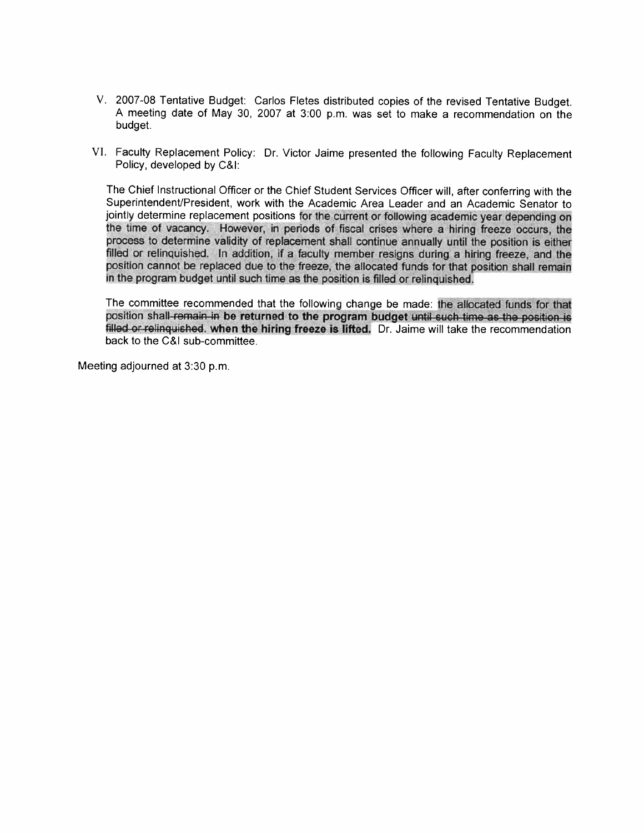- V. 2007-08 Tentative Budget: Carlos Fletes distributed copies of the revised Tentative Budget. A meeting date of May 30, 2007 at 3:00 p.m. was set to make a recommendation on the budget.
- VI. Faculty Replacement Policy: Dr. Victor Jaime presented the following Faculty Replacement Policy, developed by C&I:

The Chief Instructional Officer or the Chief Student Services Officer will, after conferring with the Superintendent/President, work with the Academic Area Leader and an Academic Senator to jointly determine replacement positions for the current or following academic year depending on the time of vacancy. However, in periods of fiscal crises where a hiring freeze occurs, the process to determine validity of replacement shall continue annually until the position is either filled or relinquished. In addition, if a faculty member resigns during a hiring freeze, and the position cannot be replaced due to the freeze, the allocated funds for that position shall remain in the program budget until such time as the position is filled or relinguished.

The committee recommended that the following change be made: the allocated funds for that position shall-remain in be returned to the program budget until such time as the position is filled or relinquished. when the hiring freeze is lifted. Dr. Jaime will take the recommendation back to the C&I sub-committee.

Meeting adjourned at 3:30 p.m.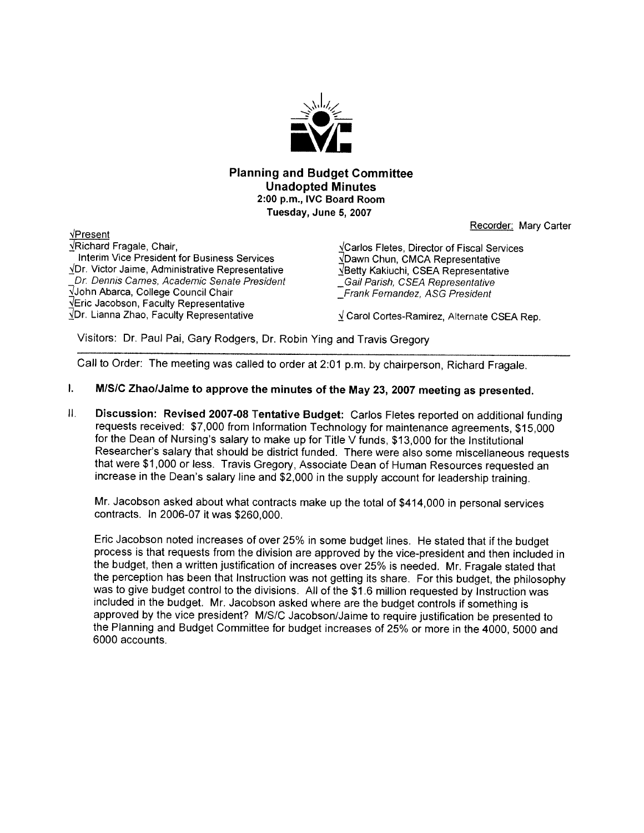

#### **Planning and Budget Committee Unadopted Minutes** 2:00 p.m., IVC Board Room Tuesday, June 5, 2007

Recorder: Mary Carter

VRichard Fragale, Chair, Interim Vice President for Business Services VDr. Victor Jaime, Administrative Representative Dr. Dennis Carnes, Acadernic Senate President VJohn Abarca, College Council Chair VEric Jacobson, Faculty Representative VDr. Lianna Zhao, Faculty Representative

**VCarlos Fletes, Director of Fiscal Services** √Dawn Chun, CMCA Representative VBetty Kakiuchi, CSEA Representative Gail Parish, CSEA Representative **Frank Fernandez, ASG President** 

V Carol Cortes-Ramirez, Alternate CSEA Rep.

Visitors: Dr. Paul Pai, Gary Rodgers, Dr. Robin Ying and Travis Gregory

Call to Order: The meeting was called to order at 2:01 p.m. by chairperson, Richard Fragale.

- $\mathbf{L}$ M/S/C Zhao/Jaime to approve the minutes of the May 23, 2007 meeting as presented.
- $II.$ Discussion: Revised 2007-08 Tentative Budget: Carlos Fletes reported on additional funding requests received: \$7,000 from Information Technology for maintenance agreements, \$15,000 for the Dean of Nursing's salary to make up for Title V funds, \$13,000 for the Institutional Researcher's salary that should be district funded. There were also some miscellaneous requests that were \$1,000 or less. Travis Gregory, Associate Dean of Human Resources requested an increase in the Dean's salary line and \$2,000 in the supply account for leadership training.

Mr. Jacobson asked about what contracts make up the total of \$414,000 in personal services contracts. In 2006-07 it was \$260,000.

Eric Jacobson noted increases of over 25% in some budget lines. He stated that if the budget process is that requests from the division are approved by the vice-president and then included in the budget, then a written justification of increases over 25% is needed. Mr. Fragale stated that the perception has been that Instruction was not getting its share. For this budget, the philosophy was to give budget control to the divisions. All of the \$1.6 million requested by Instruction was included in the budget. Mr. Jacobson asked where are the budget controls if something is approved by the vice president? M/S/C Jacobson/Jaime to require justification be presented to the Planning and Budget Committee for budget increases of 25% or more in the 4000, 5000 and 6000 accounts.

 $\sqrt{P}$ resent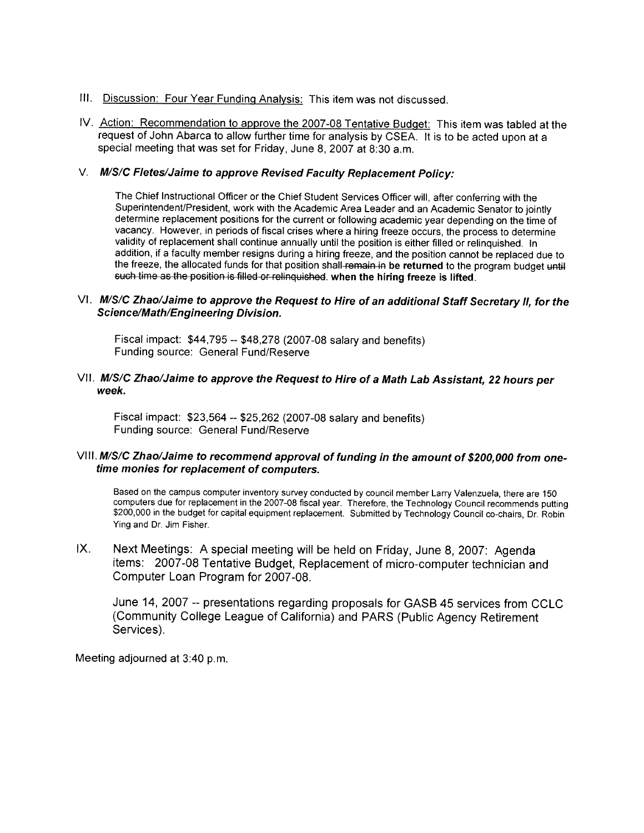- III. Discussion: Four Year Funding Analysis: This item was not discussed.
- IV. Action: Recommendation to approve the 2007-08 Tentative Budget: This item was tabled at the request of John Abarca to allow further time for analysis by CSEA. It is to be acted upon at a special meeting that was set for Friday, June 8, 2007 at 8:30 a.m.

#### V. M/S/C Fletes/Jaime to approve Revised Faculty Replacement Policy:

The Chief Instructional Officer or the Chief Student Services Officer will, after conferring with the Superintendent/President, work with the Academic Area Leader and an Academic Senator to jointly determine replacement positions for the current or following academic year depending on the time of vacancy. However, in periods of fiscal crises where a hiring freeze occurs, the process to determine validity of replacement shall continue annually until the position is either filled or relinquished. In addition, if a faculty member resigns during a hiring freeze, and the position cannot be replaced due to the freeze, the allocated funds for that position shall-remain in be returned to the program budget until such time as the position is filled or relinquished. when the hiring freeze is lifted.

#### VI. M/S/C Zhao/Jaime to approve the Request to Hire of an additional Staff Secretary II, for the **Science/Math/Engineering Division.**

Fiscal impact: \$44,795 -- \$48,278 (2007-08 salary and benefits) Funding source: General Fund/Reserve

#### VII. M/S/C Zhao/Jaime to approve the Request to Hire of a Math Lab Assistant, 22 hours per week.

Fiscal impact: \$23,564 -- \$25,262 (2007-08 salary and benefits) Funding source: General Fund/Reserve

#### VIII. M/S/C Zhao/Jaime to recommend approval of funding in the amount of \$200,000 from onetime monies for replacement of computers.

Based on the campus computer inventory survey conducted by council member Larry Valenzuela, there are 150 computers due for replacement in the 2007-08 fiscal year. Therefore, the Technology Council recommends putting \$200,000 in the budget for capital equipment replacement. Submitted by Technology Council co-chairs, Dr. Robin Ying and Dr. Jim Fisher.

#### $IX.$ Next Meetings: A special meeting will be held on Friday, June 8, 2007: Agenda items: 2007-08 Tentative Budget, Replacement of micro-computer technician and Computer Loan Program for 2007-08.

June 14, 2007 -- presentations regarding proposals for GASB 45 services from CCLC (Community College League of California) and PARS (Public Agency Retirement Services).

Meeting adjourned at 3:40 p.m.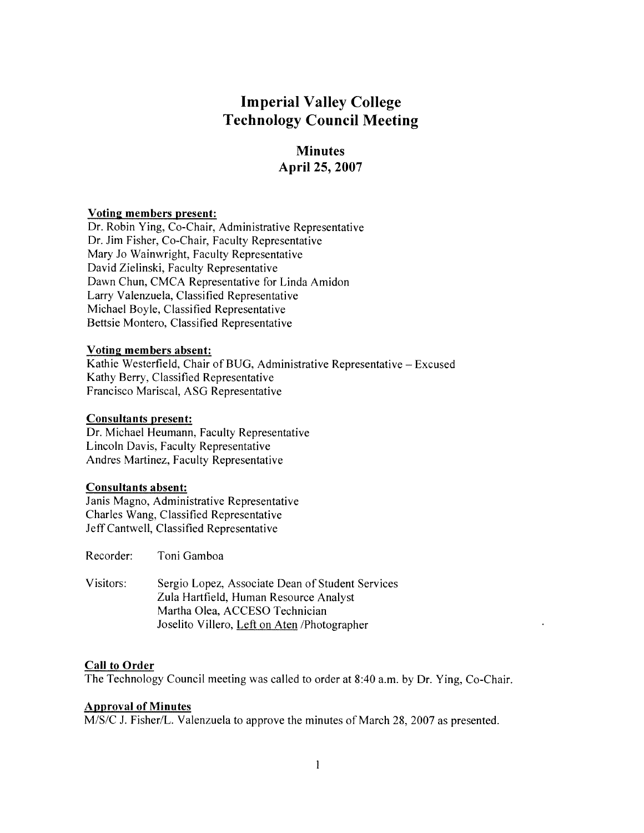# **Imperial Valley College Technology Council Meeting**

### **Minutes April 25, 2007**

#### **Voting members present:**

Dr. Robin Ying, Co-Chair, Administrative Representative Dr. Jim Fisher, Co-Chair, Faculty Representative Mary Jo Wainwright, Faculty Representative David Zielinski, Faculty Representative Dawn Chun, CMCA Representative for Linda Amidon Larry Valenzuela, Classified Representative Michael Boyle, Classified Representative Bettsie Montero, Classified Representative

#### Voting members absent:

Kathie Westerfield, Chair of BUG, Administrative Representative - Excused Kathy Berry, Classified Representative Francisco Mariscal, ASG Representative

#### **Consultants present:**

Dr. Michael Heumann, Faculty Representative Lincoln Davis, Faculty Representative Andres Martinez, Faculty Representative

#### **Consultants absent:**

Janis Magno, Administrative Representative Charles Wang, Classified Representative Jeff Cantwell, Classified Representative

Recorder: Toni Gamboa

Visitors: Sergio Lopez, Associate Dean of Student Services Zula Hartfield, Human Resource Analyst Martha Olea, ACCESO Technician Joselito Villero, Left on Aten /Photographer

#### **Call to Order**

The Technology Council meeting was called to order at 8:40 a.m. by Dr. Ying, Co-Chair.

#### **Approval of Minutes**

M/S/C J. Fisher/L. Valenzuela to approve the minutes of March 28, 2007 as presented.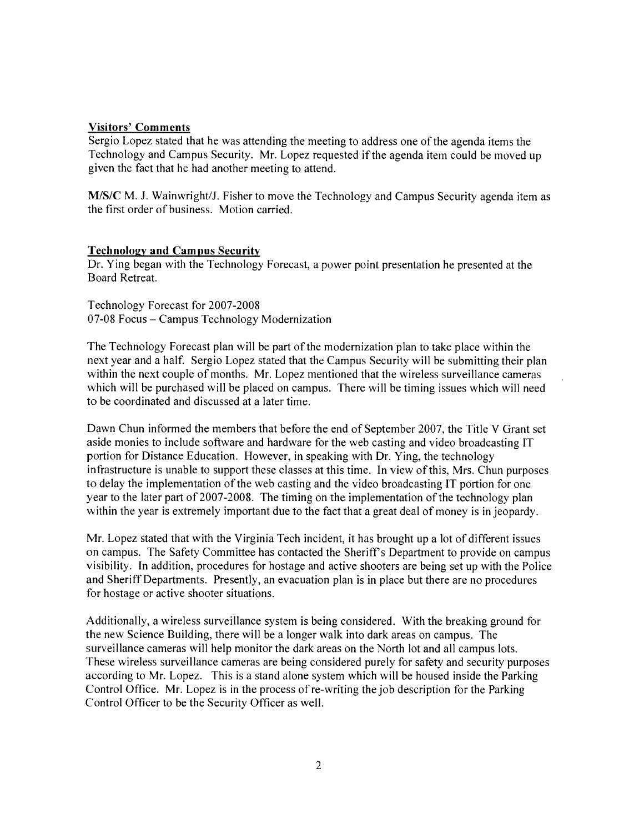#### **Visitors' Comments**

Sergio Lopez stated that he was attending the meeting to address one of the agenda items the Technology and Campus Security. Mr. Lopez requested if the agenda item could be moved up given the fact that he had another meeting to attend.

M/S/C M. J. Wainwright/J. Fisher to move the Technology and Campus Security agenda item as the first order of business. Motion carried.

#### **Technology and Campus Security**

Dr. Ying began with the Technology Forecast, a power point presentation he presented at the Board Retreat.

Technology Forecast for 2007-2008 07-08 Focus – Campus Technology Modernization

The Technology Forecast plan will be part of the modernization plan to take place within the next year and a half. Sergio Lopez stated that the Campus Security will be submitting their plan within the next couple of months. Mr. Lopez mentioned that the wireless surveillance cameras which will be purchased will be placed on campus. There will be timing issues which will need to be coordinated and discussed at a later time.

Dawn Chun informed the members that before the end of September 2007, the Title V Grant set aside monies to include software and hardware for the web casting and video broadcasting IT portion for Distance Education. However, in speaking with Dr. Ying, the technology infrastructure is unable to support these classes at this time. In view of this, Mrs. Chun purposes to delay the implementation of the web casting and the video broadcasting IT portion for one year to the later part of 2007-2008. The timing on the implementation of the technology plan within the year is extremely important due to the fact that a great deal of money is in ieopardy.

Mr. Lopez stated that with the Virginia Tech incident, it has brought up a lot of different issues on campus. The Safety Committee has contacted the Sheriff's Department to provide on campus visibility. In addition, procedures for hostage and active shooters are being set up with the Police and Sheriff Departments. Presently, an evacuation plan is in place but there are no procedures for hostage or active shooter situations.

Additionally, a wireless surveillance system is being considered. With the breaking ground for the new Science Building, there will be a longer walk into dark areas on campus. The surveillance cameras will help monitor the dark areas on the North lot and all campus lots. These wireless surveillance cameras are being considered purely for safety and security purposes according to Mr. Lopez. This is a stand alone system which will be housed inside the Parking Control Office. Mr. Lopez is in the process of re-writing the job description for the Parking Control Officer to be the Security Officer as well.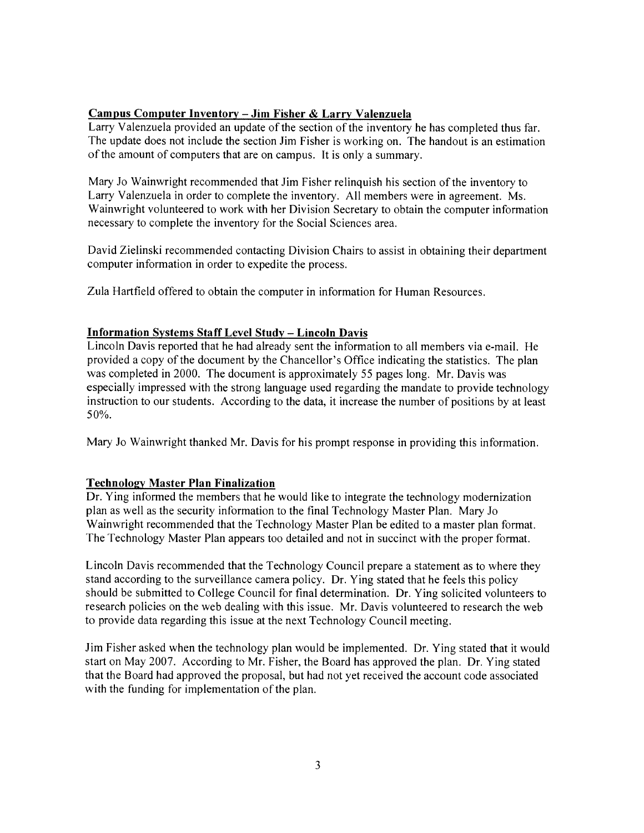#### **Campus Computer Inventory - Jim Fisher & Larry Valenzuela**

Larry Valenzuela provided an update of the section of the inventory he has completed thus far. The update does not include the section Jim Fisher is working on. The handout is an estimation of the amount of computers that are on campus. It is only a summary.

Mary Jo Wainwright recommended that Jim Fisher relinguish his section of the inventory to Larry Valenzuela in order to complete the inventory. All members were in agreement. Ms. Wainwright volunteered to work with her Division Secretary to obtain the computer information necessary to complete the inventory for the Social Sciences area.

David Zielinski recommended contacting Division Chairs to assist in obtaining their department computer information in order to expedite the process.

Zula Hartfield offered to obtain the computer in information for Human Resources.

#### **Information Systems Staff Level Study - Lincoln Davis**

Lincoln Davis reported that he had already sent the information to all members via e-mail. He provided a copy of the document by the Chancellor's Office indicating the statistics. The plan was completed in 2000. The document is approximately 55 pages long. Mr. Davis was especially impressed with the strong language used regarding the mandate to provide technology instruction to our students. According to the data, it increase the number of positions by at least  $50%$ 

Mary Jo Wainwright thanked Mr. Davis for his prompt response in providing this information.

#### **Technology Master Plan Finalization**

Dr. Ying informed the members that he would like to integrate the technology modernization plan as well as the security information to the final Technology Master Plan. Mary Jo Wainwright recommended that the Technology Master Plan be edited to a master plan format. The Technology Master Plan appears too detailed and not in succinct with the proper format.

Lincoln Davis recommended that the Technology Council prepare a statement as to where they stand according to the surveillance camera policy. Dr. Ying stated that he feels this policy should be submitted to College Council for final determination. Dr. Ying solicited volunteers to research policies on the web dealing with this issue. Mr. Davis volunteered to research the web to provide data regarding this issue at the next Technology Council meeting.

Jim Fisher asked when the technology plan would be implemented. Dr. Ying stated that it would start on May 2007. According to Mr. Fisher, the Board has approved the plan. Dr. Ying stated that the Board had approved the proposal, but had not yet received the account code associated with the funding for implementation of the plan.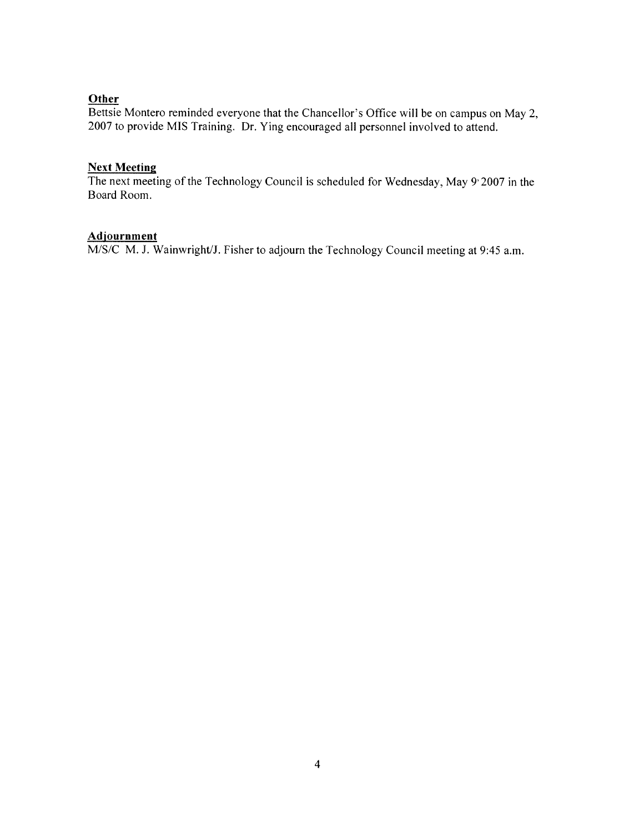#### Other

Bettsie Montero reminded everyone that the Chancellor's Office will be on campus on May 2, 2007 to provide MIS Training. Dr. Ying encouraged all personnel involved to attend.

### **Next Meeting**

The next meeting of the Technology Council is scheduled for Wednesday, May 9 2007 in the Board Room.

#### **Adjournment**

M/S/C M. J. Wainwright/J. Fisher to adjourn the Technology Council meeting at 9:45 a.m.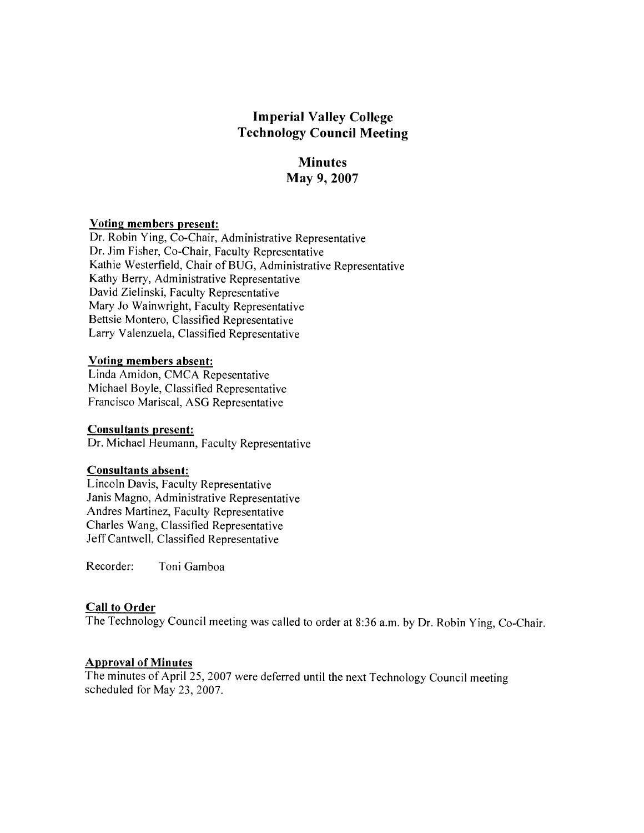### **Imperial Valley College Technology Council Meeting**

## **Minutes** May 9, 2007

#### **Voting members present:**

Dr. Robin Ying, Co-Chair, Administrative Representative Dr. Jim Fisher, Co-Chair, Faculty Representative Kathie Westerfield, Chair of BUG, Administrative Representative Kathy Berry, Administrative Representative David Zielinski, Faculty Representative Mary Jo Wainwright, Faculty Representative Bettsie Montero, Classified Representative Larry Valenzuela, Classified Representative

#### **Voting members absent:**

Linda Amidon, CMCA Repesentative Michael Boyle, Classified Representative Francisco Mariscal, ASG Representative

#### **Consultants present:**

Dr. Michael Heumann, Faculty Representative

#### **Consultants absent:**

Lincoln Davis, Faculty Representative Janis Magno, Administrative Representative Andres Martinez, Faculty Representative Charles Wang, Classified Representative Jeff Cantwell, Classified Representative

Recorder: Toni Gamboa

#### **Call to Order**

The Technology Council meeting was called to order at 8:36 a.m. by Dr. Robin Ying, Co-Chair.

#### **Approval of Minutes**

The minutes of April 25, 2007 were deferred until the next Technology Council meeting scheduled for May 23, 2007.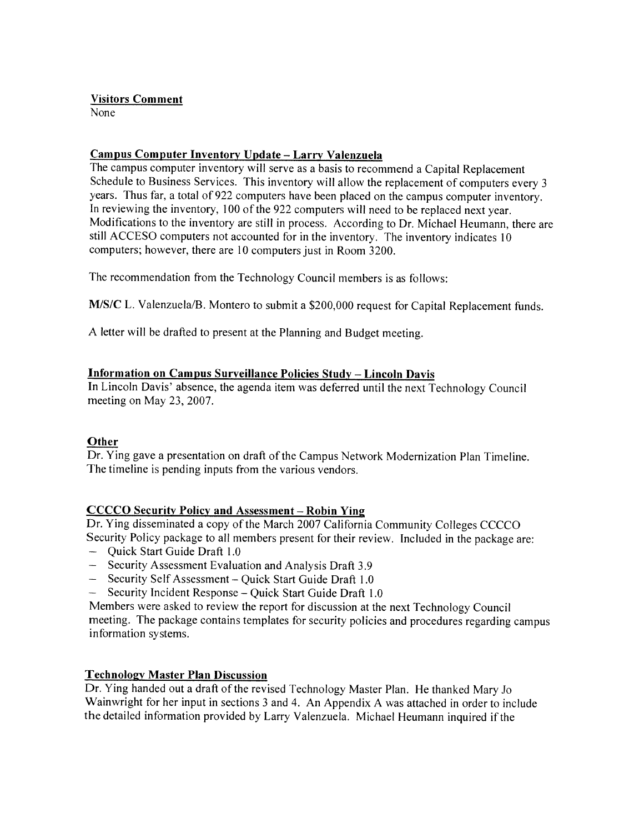### **Visitors Comment**

None

### **Campus Computer Inventory Update - Larry Valenzuela**

The campus computer inventory will serve as a basis to recommend a Capital Replacement Schedule to Business Services. This inventory will allow the replacement of computers every 3 years. Thus far, a total of 922 computers have been placed on the campus computer inventory. In reviewing the inventory, 100 of the 922 computers will need to be replaced next year. Modifications to the inventory are still in process. According to Dr. Michael Heumann, there are still ACCESO computers not accounted for in the inventory. The inventory indicates 10 computers; however, there are 10 computers just in Room  $3200$ .

The recommendation from the Technology Council members is as follows:

M/S/C L. Valenzuela/B. Montero to submit a \$200,000 request for Capital Replacement funds.

A letter will be drafted to present at the Planning and Budget meeting.

### Information on Campus Surveillance Policies Study - Lincoln Davis

In Lincoln Davis' absence, the agenda item was deferred until the next Technology Council meeting on May 23, 2007.

### Other

Dr. Ying gave a presentation on draft of the Campus Network Modernization Plan Timeline. The timeline is pending inputs from the various vendors.

### **CCCCO Security Policy and Assessment - Robin Ying**

Dr. Ying disseminated a copy of the March 2007 California Community Colleges CCCCO Security Policy package to all members present for their review. Included in the package are:

- Ouick Start Guide Draft 1.0
- Security Assessment Evaluation and Analysis Draft 3.9
- Security Self Assessment Quick Start Guide Draft 1.0
- Security Incident Response Quick Start Guide Draft 1.0

Members were asked to review the report for discussion at the next Technology Council meeting. The package contains templates for security policies and procedures regarding campus information systems.

### **Technology Master Plan Discussion**

Dr. Ying handed out a draft of the revised Technology Master Plan. He thanked Mary Jo Wainwright for her input in sections 3 and 4. An Appendix A was attached in order to include the detailed information provided by Larry Valenzuela. Michael Heumann inquired if the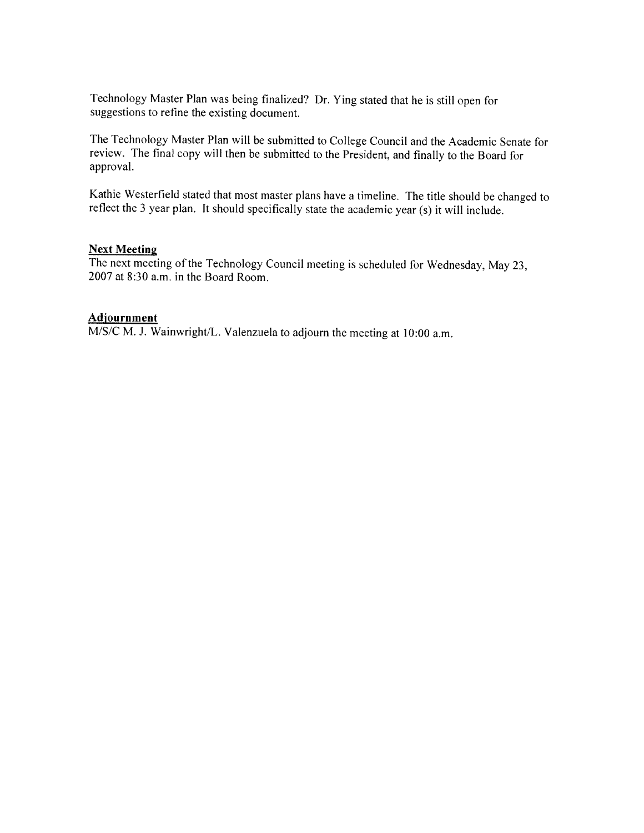Technology Master Plan was being finalized? Dr. Ying stated that he is still open for suggestions to refine the existing document.

The Technology Master Plan will be submitted to College Council and the Academic Senate for review. The final copy will then be submitted to the President, and finally to the Board for approval.

Kathie Westerfield stated that most master plans have a timeline. The title should be changed to reflect the 3 year plan. It should specifically state the academic year (s) it will include.

#### **Next Meeting**

The next meeting of the Technology Council meeting is scheduled for Wednesday, May 23, 2007 at  $8:30$  a.m. in the Board Room.

#### **Adjournment**

M/S/C M. J. Wainwright/L. Valenzuela to adjourn the meeting at 10:00 a.m.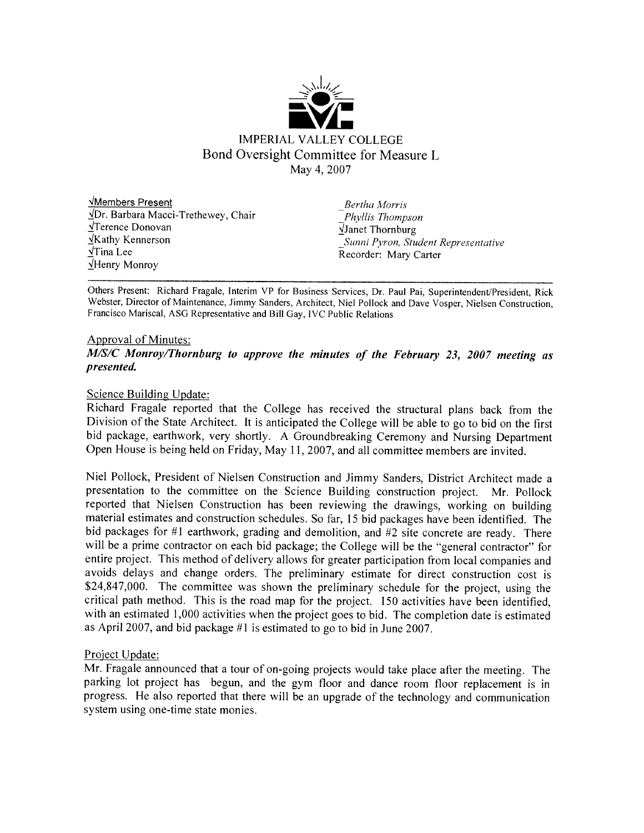

**VMembers Present** VDr. Barbara Macci-Trethewey, Chair  $\sqrt{\text{Terence Donovan}}$ VKathy Kennerson  $\sqrt{T}$ ina Lee VHenry Monroy

**Bertha Morris** Phyllis Thompson VJanet Thornburg Sunni Pyron, Student Representative Recorder: Mary Carter

Others Present: Richard Fragale, Interim VP for Business Services, Dr. Paul Pai, Superintendent/President, Rick Webster, Director of Maintenance, Jimmy Sanders, Architect, Niel Pollock and Dave Vosper, Nielsen Construction, Francisco Mariscal, ASG Representative and Bill Gay, IVC Public Relations

#### Approval of Minutes:

#### M/S/C Monroy/Thornburg to approve the minutes of the February 23, 2007 meeting as presented.

#### **Science Building Update:**

Richard Fragale reported that the College has received the structural plans back from the Division of the State Architect. It is anticipated the College will be able to go to bid on the first bid package, earthwork, very shortly. A Groundbreaking Ceremony and Nursing Department Open House is being held on Friday, May 11, 2007, and all committee members are invited.

Niel Pollock, President of Nielsen Construction and Jimmy Sanders, District Architect made a presentation to the committee on the Science Building construction project. Mr. Pollock reported that Nielsen Construction has been reviewing the drawings, working on building material estimates and construction schedules. So far, 15 bid packages have been identified. The bid packages for #1 earthwork, grading and demolition, and #2 site concrete are ready. There will be a prime contractor on each bid package; the College will be the "general contractor" for entire project. This method of delivery allows for greater participation from local companies and avoids delays and change orders. The preliminary estimate for direct construction cost is \$24,847,000. The committee was shown the preliminary schedule for the project, using the critical path method. This is the road map for the project. 150 activities have been identified, with an estimated 1,000 activities when the project goes to bid. The completion date is estimated as April 2007, and bid package  $#1$  is estimated to go to bid in June 2007.

#### Project Update:

Mr. Fragale announced that a tour of on-going projects would take place after the meeting. The parking lot project has begun, and the gym floor and dance room floor replacement is in progress. He also reported that there will be an upgrade of the technology and communication system using one-time state monies.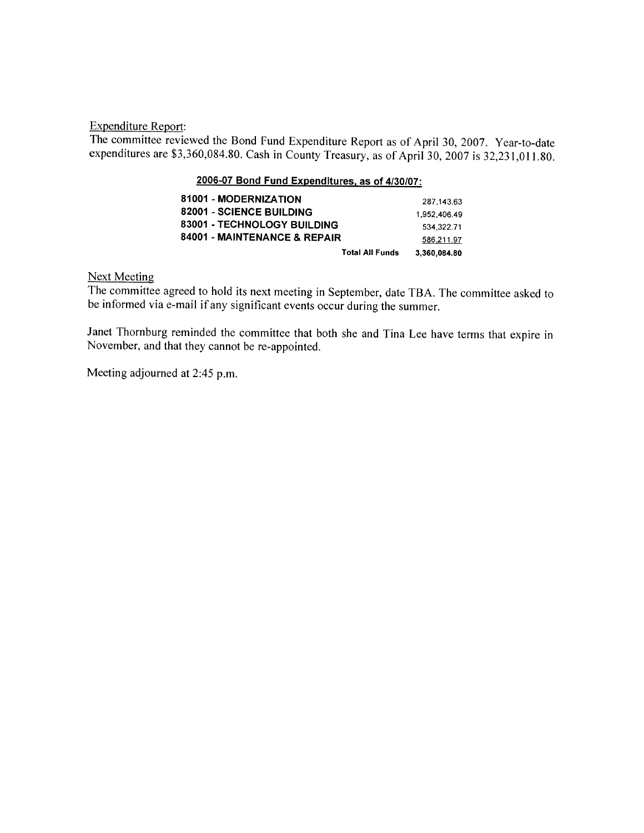#### **Expenditure Report:**

The committee reviewed the Bond Fund Expenditure Report as of April 30, 2007. Year-to-date expenditures are \$3,360,084.80. Cash in County Treasury, as of April 30, 2007 is 32,231,011.80.

### 2006-07 Bond Fund Expenditures, as of 4/30/07:

| 81001 - MODERNIZATION        | 287.143.63   |
|------------------------------|--------------|
| 82001 - SCIENCE BUILDING     | 1.952.406.49 |
| 83001 - TECHNOLOGY BUILDING  | 534,322.71   |
| 84001 - MAINTENANCE & REPAIR | 586,211.97   |
| <b>Total All Funds</b>       | 3,360,084.80 |

#### **Next Meeting**

The committee agreed to hold its next meeting in September, date TBA. The committee asked to be informed via e-mail if any significant events occur during the summer.

Janet Thornburg reminded the committee that both she and Tina Lee have terms that expire in November, and that they cannot be re-appointed.

Meeting adjourned at 2:45 p.m.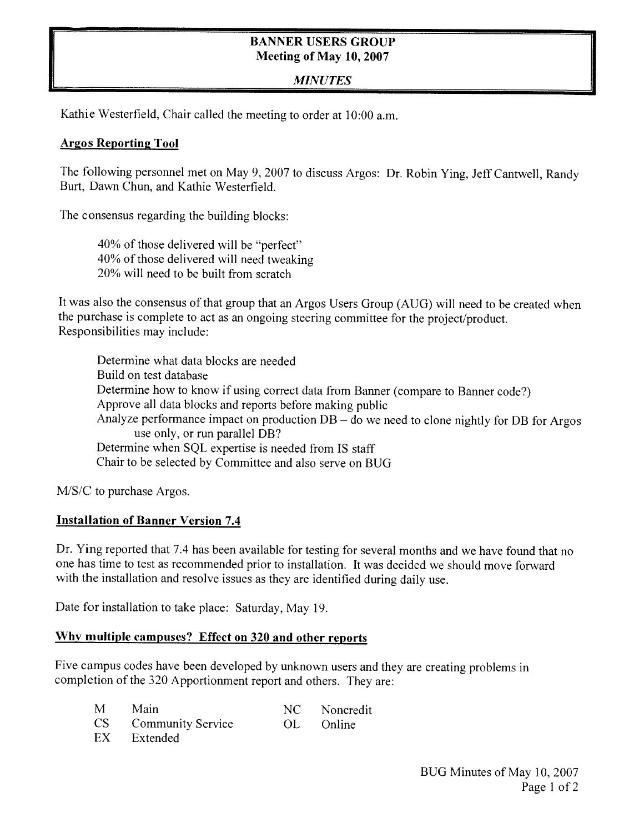### **BANNER USERS GROUP** Meeting of May 10, 2007

### **MINUTES**

Kathie Westerfield, Chair called the meeting to order at 10:00 a.m.

### **Argos Reporting Tool**

The following personnel met on May 9, 2007 to discuss Argos: Dr. Robin Ying, Jeff Cantwell, Randy Burt, Dawn Chun, and Kathie Westerfield.

The consensus regarding the building blocks:

40% of those delivered will be "perfect" 40% of those delivered will need tweaking 20% will need to be built from scratch

It was also the consensus of that group that an Argos Users Group (AUG) will need to be created when the purchase is complete to act as an ongoing steering committee for the project/product. Responsibilities may include:

Determine what data blocks are needed Build on test database Determine how to know if using correct data from Banner (compare to Banner code?) Approve all data blocks and reports before making public Analyze performance impact on production  $DB -$  do we need to clone nightly for DB for Argos use only, or run parallel DB? Determine when SQL expertise is needed from IS staff Chair to be selected by Committee and also serve on BUG

M/S/C to purchase Argos.

### **Installation of Banner Version 7.4**

Dr. Ying reported that 7.4 has been available for testing for several months and we have found that no one has time to test as recommended prior to installation. It was decided we should move forward with the installation and resolve issues as they are identified during daily use.

Date for installation to take place: Saturday, May 19.

### Why multiple campuses? Effect on 320 and other reports

Five campus codes have been developed by unknown users and they are creating problems in completion of the 320 Apportionment report and others. They are:

| M Main               | NC Noncredit |
|----------------------|--------------|
| CS Community Service | OL Online    |
| EX Extended          |              |